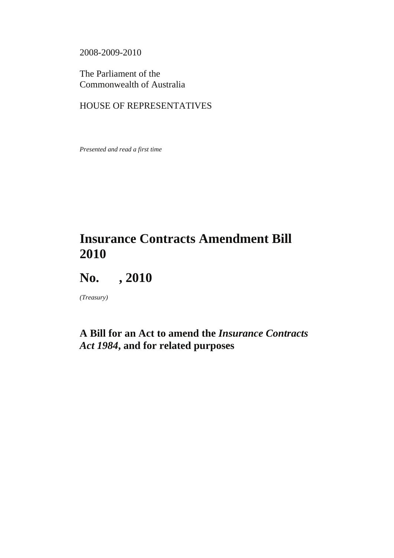2008-2009-2010

The Parliament of the Commonwealth of Australia

### HOUSE OF REPRESENTATIVES

*Presented and read a first time* 

# **Insurance Contracts Amendment Bill 2010**



*(Treasury)* 

# **A Bill for an Act to amend the** *Insurance Contracts Act 1984***, and for related purposes**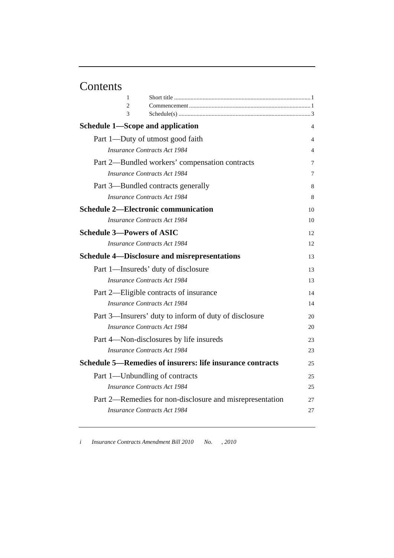# Contents

| 1                                                         |    |
|-----------------------------------------------------------|----|
| $\mathfrak{D}$<br>3                                       |    |
| Schedule 1—Scope and application                          | 4  |
| Part 1-Duty of utmost good faith                          | 4  |
| <b>Insurance Contracts Act 1984</b>                       | 4  |
| Part 2—Bundled workers' compensation contracts            | 7  |
| <b>Insurance Contracts Act 1984</b>                       | 7  |
| Part 3—Bundled contracts generally                        | 8  |
| <b>Insurance Contracts Act 1984</b>                       | 8  |
| <b>Schedule 2—Electronic communication</b>                | 10 |
| Insurance Contracts Act 1984                              | 10 |
| <b>Schedule 3-Powers of ASIC</b>                          | 12 |
| <b>Insurance Contracts Act 1984</b>                       | 12 |
| <b>Schedule 4—Disclosure and misrepresentations</b>       | 13 |
| Part 1—Insureds' duty of disclosure                       | 13 |
| <b>Insurance Contracts Act 1984</b>                       | 13 |
| Part 2—Eligible contracts of insurance                    | 14 |
| <b>Insurance Contracts Act 1984</b>                       | 14 |
| Part 3—Insurers' duty to inform of duty of disclosure     | 20 |
| Insurance Contracts Act 1984                              | 20 |
| Part 4—Non-disclosures by life insureds                   | 23 |
| Insurance Contracts Act 1984                              | 23 |
| Schedule 5—Remedies of insurers: life insurance contracts | 25 |
| Part 1—Unbundling of contracts                            | 25 |
| <b>Insurance Contracts Act 1984</b>                       | 25 |
| Part 2—Remedies for non-disclosure and misrepresentation  | 27 |
| <b>Insurance Contracts Act 1984</b>                       | 27 |
|                                                           |    |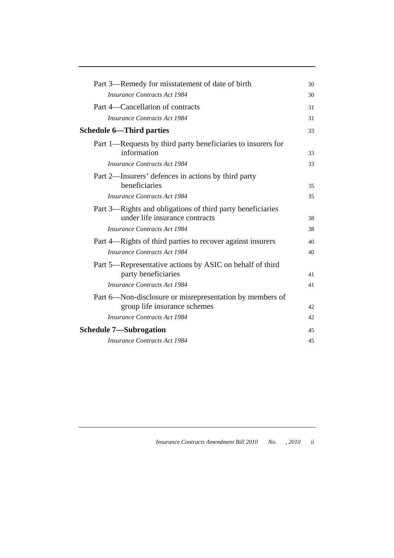| Part 3—Remedy for misstatement of date of birth                                          | 30  |
|------------------------------------------------------------------------------------------|-----|
| <b>Insurance Contracts Act 1984</b>                                                      | 30  |
| Part 4-Cancellation of contracts                                                         | 31  |
| <b>Insurance Contracts Act 1984</b>                                                      | 31  |
| <b>Schedule 6—Third parties</b>                                                          | 33  |
| Part 1—Requests by third party beneficiaries to insurers for<br>information              | 33  |
| <b>Insurance Contracts Act 1984</b>                                                      | 33  |
| Part 2—Insurers' defences in actions by third party<br>beneficiaries                     | 35  |
| Insurance Contracts Act 1984                                                             | 35  |
| Part 3—Rights and obligations of third party beneficiaries                               |     |
| under life insurance contracts                                                           | 38  |
| <b>Insurance Contracts Act 1984</b>                                                      | 38  |
| Part 4—Rights of third parties to recover against insurers                               | 40  |
| <b>Insurance Contracts Act 1984</b>                                                      | 40  |
| Part 5-Representative actions by ASIC on behalf of third                                 |     |
| party beneficiaries                                                                      | 41  |
| <b>Insurance Contracts Act 1984</b>                                                      | 41  |
| Part 6—Non-disclosure or misrepresentation by members of<br>group life insurance schemes | 42  |
| <b>Insurance Contracts Act 1984</b>                                                      |     |
|                                                                                          | 42. |
| <b>Schedule 7—Subrogation</b>                                                            | 45  |
| <b>Insurance Contracts Act 1984</b>                                                      | 45  |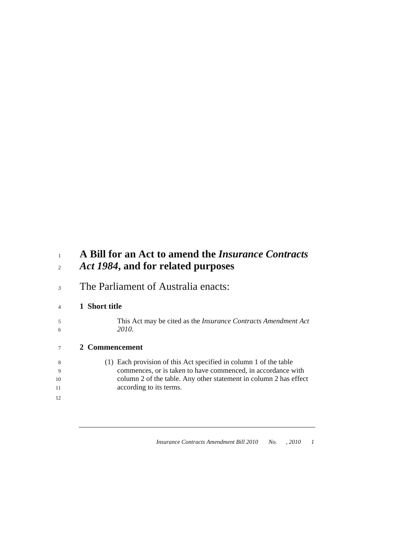# <sup>1</sup>**A Bill for an Act to amend the** *Insurance Contracts*  <sup>2</sup>*Act 1984***, and for related purposes**

3 The Parliament of Australia enacts:

### <sup>4</sup>**1 Short title**

5 This Act may be cited as the *Insurance Contracts Amendment Act*  6 *2010*.

### <sup>7</sup>**2 Commencement**

- 8 (1) Each provision of this Act specified in column 1 of the table 9 commences, or is taken to have commenced, in accordance with 10 column 2 of the table. Any other statement in column 2 has effect 11 **according to its terms.**
- 12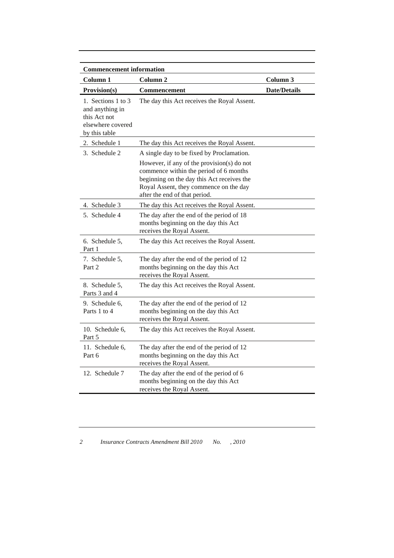| <b>Commencement information</b>                                                             |                                                                                                                                                                                                               |                     |
|---------------------------------------------------------------------------------------------|---------------------------------------------------------------------------------------------------------------------------------------------------------------------------------------------------------------|---------------------|
| Column 1                                                                                    | Column 2                                                                                                                                                                                                      | Column 3            |
| Provision(s)                                                                                | <b>Commencement</b>                                                                                                                                                                                           | <b>Date/Details</b> |
| 1. Sections 1 to 3<br>and anything in<br>this Act not<br>elsewhere covered<br>by this table | The day this Act receives the Royal Assent.                                                                                                                                                                   |                     |
| 2. Schedule 1                                                                               | The day this Act receives the Royal Assent.                                                                                                                                                                   |                     |
| 3. Schedule 2                                                                               | A single day to be fixed by Proclamation.                                                                                                                                                                     |                     |
|                                                                                             | However, if any of the provision(s) do not<br>commence within the period of 6 months<br>beginning on the day this Act receives the<br>Royal Assent, they commence on the day<br>after the end of that period. |                     |
| 4. Schedule 3                                                                               | The day this Act receives the Royal Assent.                                                                                                                                                                   |                     |
| 5. Schedule 4                                                                               | The day after the end of the period of 18<br>months beginning on the day this Act<br>receives the Royal Assent.                                                                                               |                     |
| 6. Schedule 5,<br>Part 1                                                                    | The day this Act receives the Royal Assent.                                                                                                                                                                   |                     |
| 7. Schedule 5,<br>Part 2                                                                    | The day after the end of the period of 12<br>months beginning on the day this Act<br>receives the Royal Assent.                                                                                               |                     |
| 8. Schedule 5,<br>Parts 3 and 4                                                             | The day this Act receives the Royal Assent.                                                                                                                                                                   |                     |
| 9. Schedule 6,<br>Parts 1 to 4                                                              | The day after the end of the period of 12<br>months beginning on the day this Act<br>receives the Royal Assent.                                                                                               |                     |
| 10. Schedule 6,<br>Part 5                                                                   | The day this Act receives the Royal Assent.                                                                                                                                                                   |                     |
| 11. Schedule 6,<br>Part 6                                                                   | The day after the end of the period of 12<br>months beginning on the day this Act<br>receives the Royal Assent.                                                                                               |                     |
| 12. Schedule 7                                                                              | The day after the end of the period of 6<br>months beginning on the day this Act<br>receives the Royal Assent.                                                                                                |                     |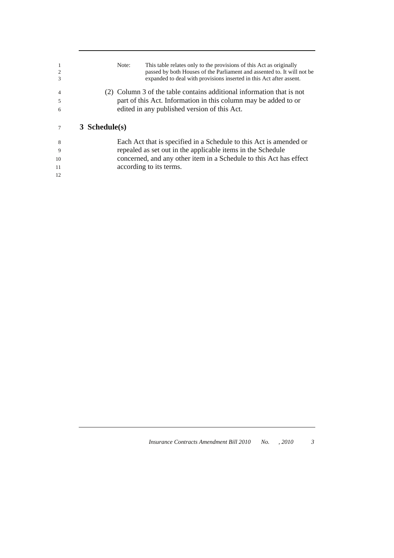| 1<br>$\overline{2}$ | This table relates only to the provisions of this Act as originally<br>Note:<br>passed by both Houses of the Parliament and assented to. It will not be |
|---------------------|---------------------------------------------------------------------------------------------------------------------------------------------------------|
| 3                   | expanded to deal with provisions inserted in this Act after assent.                                                                                     |
| $\overline{4}$      | (2) Column 3 of the table contains additional information that is not                                                                                   |
| 5                   | part of this Act. Information in this column may be added to or                                                                                         |
| 6                   | edited in any published version of this Act.                                                                                                            |
|                     | $3$ Schedule(s)                                                                                                                                         |
| 8                   | Each Act that is specified in a Schedule to this Act is amended or                                                                                      |
| 9                   | repealed as set out in the applicable items in the Schedule                                                                                             |
| 10                  | concerned, and any other item in a Schedule to this Act has effect                                                                                      |
| 11                  | according to its terms.                                                                                                                                 |
| 12                  |                                                                                                                                                         |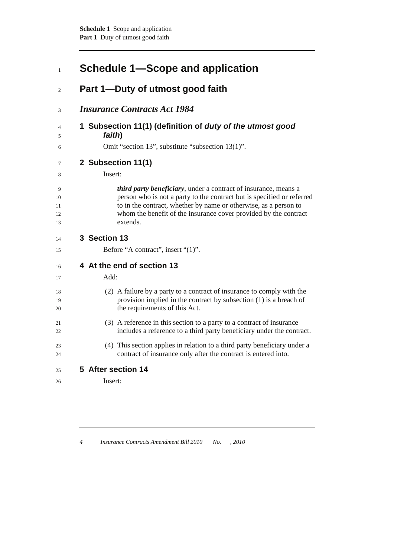| $\mathbf{1}$              | Schedule 1—Scope and application                                                                                                                                                                                                                                                              |
|---------------------------|-----------------------------------------------------------------------------------------------------------------------------------------------------------------------------------------------------------------------------------------------------------------------------------------------|
| 2                         | Part 1-Duty of utmost good faith                                                                                                                                                                                                                                                              |
| 3                         | <b>Insurance Contracts Act 1984</b>                                                                                                                                                                                                                                                           |
| 4<br>5                    | 1 Subsection 11(1) (definition of duty of the utmost good<br>faith)                                                                                                                                                                                                                           |
| 6                         | Omit "section 13", substitute "subsection 13(1)".                                                                                                                                                                                                                                             |
| 7<br>8                    | 2 Subsection 11(1)<br>Insert:                                                                                                                                                                                                                                                                 |
| 9<br>10<br>11<br>12<br>13 | third party beneficiary, under a contract of insurance, means a<br>person who is not a party to the contract but is specified or referred<br>to in the contract, whether by name or otherwise, as a person to<br>whom the benefit of the insurance cover provided by the contract<br>extends. |
| 14                        | 3 Section 13                                                                                                                                                                                                                                                                                  |
| 15                        | Before "A contract", insert "(1)".                                                                                                                                                                                                                                                            |
| 16                        | 4 At the end of section 13                                                                                                                                                                                                                                                                    |
| 17                        | Add:                                                                                                                                                                                                                                                                                          |
| 18<br>19<br>20            | (2) A failure by a party to a contract of insurance to comply with the<br>provision implied in the contract by subsection $(1)$ is a breach of<br>the requirements of this Act.                                                                                                               |
| 21<br>22                  | (3) A reference in this section to a party to a contract of insurance<br>includes a reference to a third party beneficiary under the contract.                                                                                                                                                |
| 23<br>24                  | (4) This section applies in relation to a third party beneficiary under a<br>contract of insurance only after the contract is entered into.                                                                                                                                                   |
| 25                        | 5 After section 14                                                                                                                                                                                                                                                                            |
| 26                        | Insert:                                                                                                                                                                                                                                                                                       |
|                           |                                                                                                                                                                                                                                                                                               |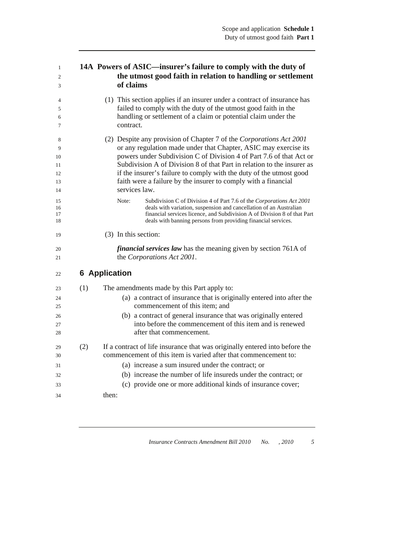| $\mathbf{1}$  | 14A Powers of ASIC—insurer's failure to comply with the duty of |
|---------------|-----------------------------------------------------------------|
| 2             | the utmost good faith in relation to handling or settlement     |
| $\mathcal{R}$ | of claims                                                       |
|               |                                                                 |

| 4  | (1) This section applies if an insurer under a contract of insurance has |
|----|--------------------------------------------------------------------------|
|    | failed to comply with the duty of the utmost good faith in the           |
| 6. | handling or settlement of a claim or potential claim under the           |
|    | contract.                                                                |
|    |                                                                          |

8 (2) Despite any provision of Chapter 7 of the *Corporations Act 2001* 9 or any regulation made under that Chapter, ASIC may exercise its 10 powers under Subdivision C of Division 4 of Part 7.6 of that Act or 11 Subdivision A of Division 8 of that Part in relation to the insurer as 12 if the insurer's failure to comply with the duty of the utmost good 13 faith were a failure by the insurer to comply with a financial 14 services law.

| 15 | Note: | Subdivision C of Division 4 of Part 7.6 of the Corporations Act 2001     |
|----|-------|--------------------------------------------------------------------------|
| 16 |       | deals with variation, suspension and cancellation of an Australian       |
| 17 |       | financial services licence, and Subdivision A of Division 8 of that Part |
| 18 |       | deals with banning persons from providing financial services.            |
|    |       |                                                                          |

19 (3) In this section:

20 *financial services law* has the meaning given by section 761A of 21 the *Corporations Act 2001*.

### <sup>22</sup>**6 Application**

| 23 | (1) | The amendments made by this Part apply to:                                  |
|----|-----|-----------------------------------------------------------------------------|
| 24 |     | (a) a contract of insurance that is originally entered into after the       |
| 25 |     | commencement of this item; and                                              |
| 26 |     | (b) a contract of general insurance that was originally entered             |
| 27 |     | into before the commencement of this item and is renewed                    |
| 28 |     | after that commencement.                                                    |
| 29 | (2) | If a contract of life insurance that was originally entered into before the |
| 30 |     | commencement of this item is varied after that commencement to:             |
| 31 |     | (a) increase a sum insured under the contract; or                           |
| 32 |     | (b) increase the number of life insureds under the contract; or             |
| 33 |     | (c) provide one or more additional kinds of insurance cover;                |
| 34 |     | then:                                                                       |
|    |     |                                                                             |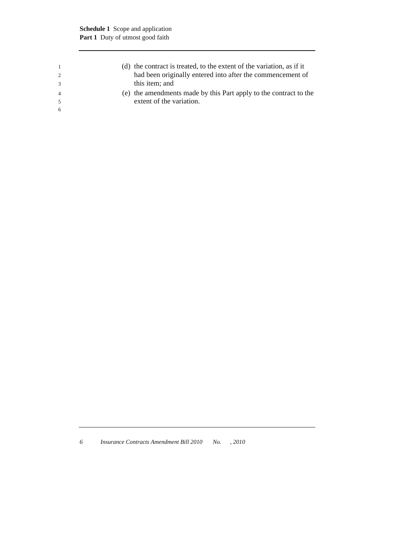|                | (d) the contract is treated, to the extent of the variation, as if it<br>had been originally entered into after the commencement of<br>this item; and |
|----------------|-------------------------------------------------------------------------------------------------------------------------------------------------------|
| $\overline{4}$ | (e) the amendments made by this Part apply to the contract to the                                                                                     |
| -6             | extent of the variation.                                                                                                                              |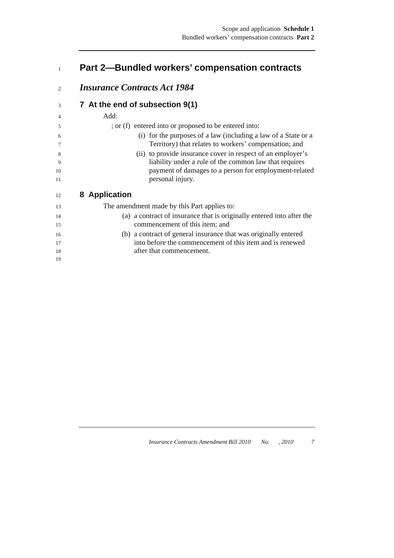### <sup>1</sup>**Part 2—Bundled workers' compensation contracts**

### <sup>2</sup>*Insurance Contracts Act 1984*

### <sup>3</sup>**7 At the end of subsection 9(1)**  4 Add: 5 ; or (f) entered into or proposed to be entered into: 6 (i) for the purposes of a law (including a law of a State or a 7 Territory) that relates to workers' compensation; and 8 (ii) to provide insurance cover in respect of an employer's

9 liability under a rule of the common law that requires 10 payment of damages to a person for employment-related 11 personal injury.

### <sup>12</sup>**8 Application**

19

13 The amendment made by this Part applies to:

- 14 (a) a contract of insurance that is originally entered into after the 15 commencement of this item; and
- 16 (b) a contract of general insurance that was originally entered 17 into before the commencement of this item and is renewed 18 **after that commencement.**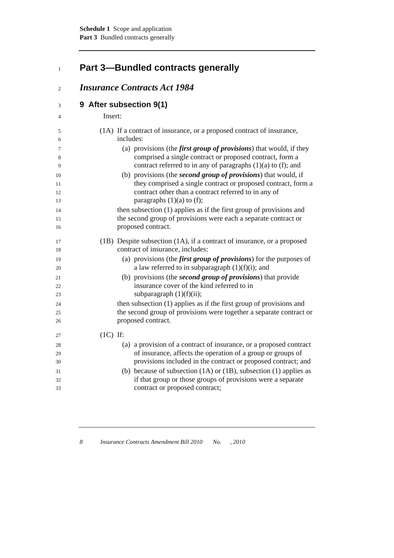# <sup>1</sup>**Part 3—Bundled contracts generally**

### <sup>2</sup>*Insurance Contracts Act 1984*

<sup>3</sup>**9 After subsection 9(1)** 

| $\overline{4}$ | Insert:                                                                                                                       |
|----------------|-------------------------------------------------------------------------------------------------------------------------------|
| 5              | (1A) If a contract of insurance, or a proposed contract of insurance,                                                         |
| 6              | includes:                                                                                                                     |
| 7              | (a) provisions (the <i>first group of provisions</i> ) that would, if they                                                    |
| 8<br>9         | comprised a single contract or proposed contract, form a<br>contract referred to in any of paragraphs $(1)(a)$ to $(f)$ ; and |
| 10             | (b) provisions (the <i>second group of provisions</i> ) that would, if                                                        |
| 11             | they comprised a single contract or proposed contract, form a                                                                 |
| 12<br>13       | contract other than a contract referred to in any of<br>paragraphs $(1)(a)$ to $(f)$ ;                                        |
| 14             | then subsection (1) applies as if the first group of provisions and                                                           |
| 15             | the second group of provisions were each a separate contract or                                                               |
| 16             | proposed contract.                                                                                                            |
| 17             | (1B) Despite subsection (1A), if a contract of insurance, or a proposed                                                       |
| 18             | contract of insurance, includes:                                                                                              |
| 19             | (a) provisions (the <i>first group of provisions</i> ) for the purposes of                                                    |
| 20             | a law referred to in subparagraph $(1)(f)(i)$ ; and                                                                           |
| 21             | (b) provisions (the <i>second group of provisions</i> ) that provide                                                          |
| 22             | insurance cover of the kind referred to in                                                                                    |
| 23             | subparagraph $(1)(f)(ii)$ ;                                                                                                   |
| 24             | then subsection (1) applies as if the first group of provisions and                                                           |
| 25             | the second group of provisions were together a separate contract or                                                           |
| 26             | proposed contract.                                                                                                            |
| 27             | $(1C)$ If:                                                                                                                    |
| 28             | (a) a provision of a contract of insurance, or a proposed contract                                                            |
| 29             | of insurance, affects the operation of a group or groups of                                                                   |

- 30 provisions included in the contract or proposed contract; and 31 (b) because of subsection (1A) or (1B), subsection (1) applies as 32 if that group or those groups of provisions were a separate 33 contract or proposed contract;
	- *8 Insurance Contracts Amendment Bill 2010 No. , 2010*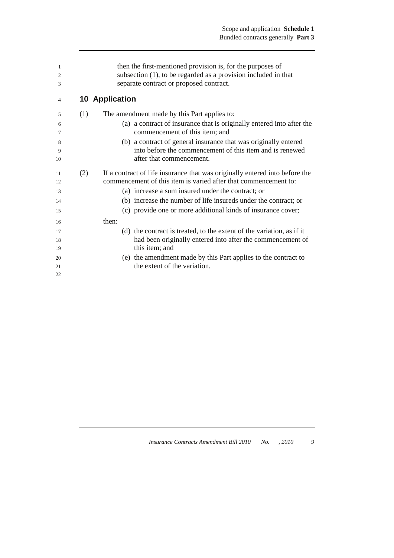| 1<br>$\overline{2}$<br>3 |     | then the first-mentioned provision is, for the purposes of<br>subsection $(1)$ , to be regarded as a provision included in that<br>separate contract or proposed contract. |
|--------------------------|-----|----------------------------------------------------------------------------------------------------------------------------------------------------------------------------|
| 4                        |     | <b>10 Application</b>                                                                                                                                                      |
| 5                        | (1) | The amendment made by this Part applies to:                                                                                                                                |
| 6<br>7                   |     | (a) a contract of insurance that is originally entered into after the<br>commencement of this item; and                                                                    |
| 8                        |     | (b) a contract of general insurance that was originally entered                                                                                                            |
| 9                        |     | into before the commencement of this item and is renewed                                                                                                                   |
| 10                       |     | after that commencement.                                                                                                                                                   |
| 11<br>12                 | (2) | If a contract of life insurance that was originally entered into before the<br>commencement of this item is varied after that commencement to:                             |
| 13                       |     | (a) increase a sum insured under the contract; or                                                                                                                          |
| 14                       |     | (b) increase the number of life insureds under the contract; or                                                                                                            |
| 15                       |     | (c) provide one or more additional kinds of insurance cover;                                                                                                               |
| 16                       |     | then:                                                                                                                                                                      |
| 17                       |     | (d) the contract is treated, to the extent of the variation, as if it                                                                                                      |
| 18                       |     | had been originally entered into after the commencement of                                                                                                                 |
| 19                       |     | this item; and                                                                                                                                                             |
| 20                       |     | (e) the amendment made by this Part applies to the contract to                                                                                                             |
| 21<br>22                 |     | the extent of the variation.                                                                                                                                               |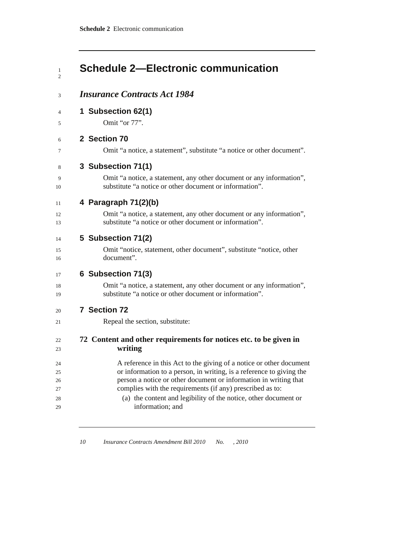#### <sup>1</sup>**Schedule 2—Electronic communication**   $\overline{2}$

### <sup>3</sup>*Insurance Contracts Act 1984*

<sup>4</sup>**1 Subsection 62(1)** 

5 Omit "or 77".

### <sup>6</sup>**2 Section 70**

7 Omit "a notice, a statement", substitute "a notice or other document".

### <sup>8</sup>**3 Subsection 71(1)**

9 Omit "a notice, a statement, any other document or any information", 10 substitute "a notice or other document or information".

### <sup>11</sup>**4 Paragraph 71(2)(b)**

12 Omit "a notice, a statement, any other document or any information", 13 substitute "a notice or other document or information".

### <sup>14</sup>**5 Subsection 71(2)**

15 Omit "notice, statement, other document", substitute "notice, other 16 document".

### <sup>17</sup>**6 Subsection 71(3)**

18 Omit "a notice, a statement, any other document or any information", 19 substitute "a notice or other document or information".

#### <sup>20</sup>**7 Section 72**

21 Repeal the section, substitute:

### <sup>22</sup>**72 Content and other requirements for notices etc. to be given in**  <sup>23</sup>**writing**

- 24 A reference in this Act to the giving of a notice or other document 25 or information to a person, in writing, is a reference to giving the 26 person a notice or other document or information in writing that 27 complies with the requirements (if any) prescribed as to:
- 28 (a) the content and legibility of the notice, other document or 29 information; and
	-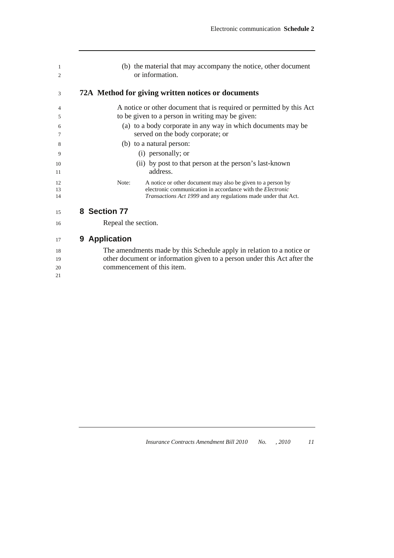| 1<br>$\overline{c}$ | (b) the material that may accompany the notice, other document<br>or information.                                                                                                                           |
|---------------------|-------------------------------------------------------------------------------------------------------------------------------------------------------------------------------------------------------------|
| 3                   | 72A Method for giving written notices or documents                                                                                                                                                          |
| 4<br>5              | A notice or other document that is required or permitted by this Act<br>to be given to a person in writing may be given:                                                                                    |
| 6<br>7              | (a) to a body corporate in any way in which documents may be<br>served on the body corporate; or                                                                                                            |
| 8                   | (b) to a natural person:                                                                                                                                                                                    |
| 9<br>10<br>11       | (i) personally; or<br>(ii) by post to that person at the person's last-known<br>address.                                                                                                                    |
| 12<br>13<br>14      | Note:<br>A notice or other document may also be given to a person by<br>electronic communication in accordance with the <i>Electronic</i><br>Transactions Act 1999 and any regulations made under that Act. |
| 15                  | 8 Section 77                                                                                                                                                                                                |
| 16                  | Repeal the section.                                                                                                                                                                                         |
| 17                  | <b>Application</b><br>9                                                                                                                                                                                     |

18 The amendments made by this Schedule apply in relation to a notice or 19 other document or information given to a person under this Act after the 20 commencement of this item. 21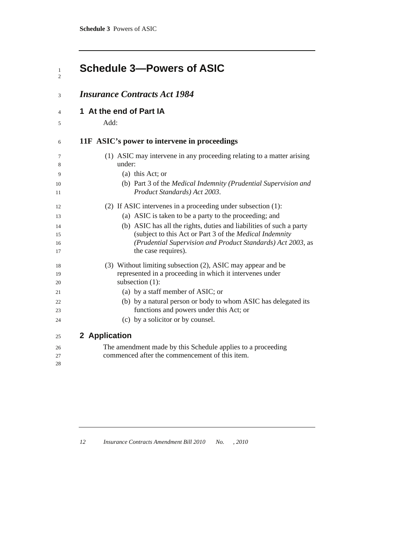### **Schedule 3-Powers of ASIC**  $\frac{1}{2}$

| 3        | <b>Insurance Contracts Act 1984</b>                                                             |
|----------|-------------------------------------------------------------------------------------------------|
| 4        | 1 At the end of Part IA                                                                         |
| 5        | Add:                                                                                            |
| 6        | 11F ASIC's power to intervene in proceedings                                                    |
| 7<br>8   | (1) ASIC may intervene in any proceeding relating to a matter arising<br>under:                 |
| 9        | (a) this Act; or                                                                                |
| 10<br>11 | (b) Part 3 of the Medical Indemnity (Prudential Supervision and<br>Product Standards) Act 2003. |
| 12       | (2) If ASIC intervenes in a proceeding under subsection (1):                                    |
| 13       | (a) ASIC is taken to be a party to the proceeding; and                                          |
| 14       | (b) ASIC has all the rights, duties and liabilities of such a party                             |
| 15       | (subject to this Act or Part 3 of the Medical Indemnity                                         |
| 16<br>17 | (Prudential Supervision and Product Standards) Act 2003, as<br>the case requires).              |
| 18       | (3) Without limiting subsection (2), ASIC may appear and be                                     |
| 19       | represented in a proceeding in which it intervenes under                                        |
| 20       | subsection (1):                                                                                 |
| 21       | (a) by a staff member of ASIC; or                                                               |
| 22       | (b) by a natural person or body to whom ASIC has delegated its                                  |
| 23       | functions and powers under this Act; or                                                         |
| 24       | (c) by a solicitor or by counsel.                                                               |
| 25       | 2 Application                                                                                   |
| 26       | The amendment made by this Schedule applies to a proceeding                                     |
| 27       | commenced after the commencement of this item.                                                  |
| 28       |                                                                                                 |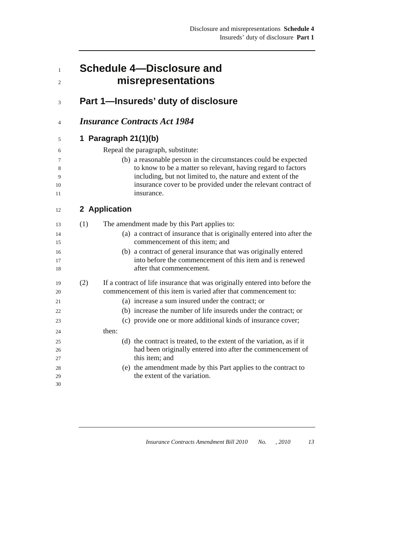|     | <b>Schedule 4-Disclosure and</b><br>misrepresentations                                                                                                                                                                                                                       |
|-----|------------------------------------------------------------------------------------------------------------------------------------------------------------------------------------------------------------------------------------------------------------------------------|
|     | Part 1-Insureds' duty of disclosure                                                                                                                                                                                                                                          |
|     | <b>Insurance Contracts Act 1984</b>                                                                                                                                                                                                                                          |
|     | 1 Paragraph $21(1)(b)$                                                                                                                                                                                                                                                       |
|     | Repeal the paragraph, substitute:                                                                                                                                                                                                                                            |
|     | (b) a reasonable person in the circumstances could be expected<br>to know to be a matter so relevant, having regard to factors<br>including, but not limited to, the nature and extent of the<br>insurance cover to be provided under the relevant contract of<br>insurance. |
|     | 2 Application                                                                                                                                                                                                                                                                |
| (1) | The amendment made by this Part applies to:                                                                                                                                                                                                                                  |
|     | (a) a contract of insurance that is originally entered into after the<br>commencement of this item; and                                                                                                                                                                      |
|     | (b) a contract of general insurance that was originally entered<br>into before the commencement of this item and is renewed<br>after that commencement.                                                                                                                      |
| (2) | If a contract of life insurance that was originally entered into before the<br>commencement of this item is varied after that commencement to:                                                                                                                               |
|     | (a) increase a sum insured under the contract; or                                                                                                                                                                                                                            |
|     | (b) increase the number of life insureds under the contract; or                                                                                                                                                                                                              |
|     | (c) provide one or more additional kinds of insurance cover;                                                                                                                                                                                                                 |
|     | then:                                                                                                                                                                                                                                                                        |
|     | (d) the contract is treated, to the extent of the variation, as if it<br>had been originally entered into after the commencement of<br>this item; and                                                                                                                        |
|     | (e) the amendment made by this Part applies to the contract to<br>the extent of the variation.                                                                                                                                                                               |
|     |                                                                                                                                                                                                                                                                              |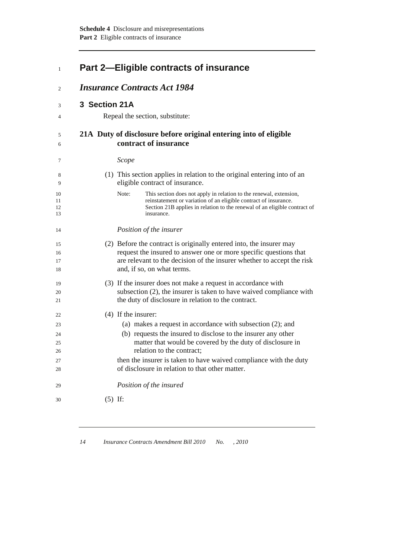| $\mathbf{1}$         | <b>Part 2-Eligible contracts of insurance</b><br><b>Insurance Contracts Act 1984</b> |                                                                                                                                                                                                                                                  |  |
|----------------------|--------------------------------------------------------------------------------------|--------------------------------------------------------------------------------------------------------------------------------------------------------------------------------------------------------------------------------------------------|--|
| 2                    |                                                                                      |                                                                                                                                                                                                                                                  |  |
| 3                    | 3 Section 21A                                                                        |                                                                                                                                                                                                                                                  |  |
| 4                    |                                                                                      | Repeal the section, substitute:                                                                                                                                                                                                                  |  |
| 5<br>6               |                                                                                      | 21A Duty of disclosure before original entering into of eligible<br>contract of insurance                                                                                                                                                        |  |
| 7                    |                                                                                      | Scope                                                                                                                                                                                                                                            |  |
| 8<br>9               |                                                                                      | (1) This section applies in relation to the original entering into of an<br>eligible contract of insurance.                                                                                                                                      |  |
| 10<br>11<br>12<br>13 |                                                                                      | This section does not apply in relation to the renewal, extension,<br>Note:<br>reinstatement or variation of an eligible contract of insurance.<br>Section 21B applies in relation to the renewal of an eligible contract of<br>insurance.       |  |
| 14                   |                                                                                      | Position of the insurer                                                                                                                                                                                                                          |  |
| 15<br>16<br>17<br>18 |                                                                                      | (2) Before the contract is originally entered into, the insurer may<br>request the insured to answer one or more specific questions that<br>are relevant to the decision of the insurer whether to accept the risk<br>and, if so, on what terms. |  |
| 19<br>20<br>21       |                                                                                      | (3) If the insurer does not make a request in accordance with<br>subsection (2), the insurer is taken to have waived compliance with<br>the duty of disclosure in relation to the contract.                                                      |  |
| 22                   |                                                                                      | $(4)$ If the insurer:                                                                                                                                                                                                                            |  |
| 23                   |                                                                                      | (a) makes a request in accordance with subsection $(2)$ ; and                                                                                                                                                                                    |  |
| 24                   |                                                                                      | (b) requests the insured to disclose to the insurer any other                                                                                                                                                                                    |  |
| 25                   |                                                                                      | matter that would be covered by the duty of disclosure in                                                                                                                                                                                        |  |
| 26                   |                                                                                      | relation to the contract;                                                                                                                                                                                                                        |  |
| 27<br>28             |                                                                                      | then the insurer is taken to have waived compliance with the duty<br>of disclosure in relation to that other matter.                                                                                                                             |  |
| 29                   |                                                                                      | Position of the insured                                                                                                                                                                                                                          |  |
| 30                   |                                                                                      | $(5)$ If:                                                                                                                                                                                                                                        |  |
|                      |                                                                                      |                                                                                                                                                                                                                                                  |  |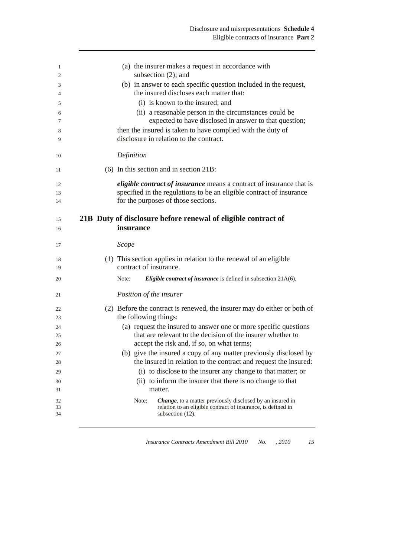| 1  | (a) the insurer makes a request in accordance with                       |
|----|--------------------------------------------------------------------------|
| 2  | subsection $(2)$ ; and                                                   |
| 3  | (b) in answer to each specific question included in the request,         |
| 4  | the insured discloses each matter that:                                  |
| 5  | (i) is known to the insured; and                                         |
| 6  | (ii) a reasonable person in the circumstances could be                   |
| 7  | expected to have disclosed in answer to that question;                   |
| 8  | then the insured is taken to have complied with the duty of              |
| 9  | disclosure in relation to the contract.                                  |
| 10 | Definition                                                               |
| 11 | $(6)$ In this section and in section 21B:                                |
| 12 | eligible contract of insurance means a contract of insurance that is     |
| 13 | specified in the regulations to be an eligible contract of insurance     |
| 14 | for the purposes of those sections.                                      |
|    |                                                                          |
| 15 | 21B Duty of disclosure before renewal of eligible contract of            |
| 16 | insurance                                                                |
| 17 | Scope                                                                    |
| 18 | (1) This section applies in relation to the renewal of an eligible       |
| 19 | contract of insurance.                                                   |
| 20 | Eligible contract of insurance is defined in subsection 21A(6).<br>Note: |
| 21 | Position of the insurer                                                  |
| 22 | (2) Before the contract is renewed, the insurer may do either or both of |
| 23 | the following things:                                                    |
| 24 | (a) request the insured to answer one or more specific questions         |
| 25 | that are relevant to the decision of the insurer whether to              |
| 26 | accept the risk and, if so, on what terms;                               |
| 27 | (b) give the insured a copy of any matter previously disclosed by        |
| 28 | the insured in relation to the contract and request the insured:         |
| 29 | (i) to disclose to the insurer any change to that matter; or             |
| 30 | (ii) to inform the insurer that there is no change to that               |
| 31 | matter.                                                                  |
| 32 | Note:<br>Change, to a matter previously disclosed by an insured in       |
| 33 | relation to an eligible contract of insurance, is defined in             |
| 34 | subsection (12).                                                         |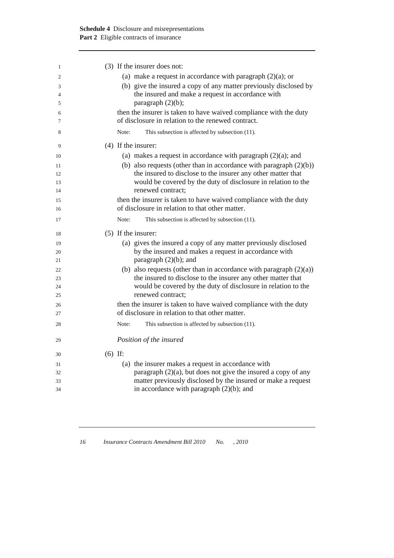| 1  | (3) If the insurer does not:                                          |
|----|-----------------------------------------------------------------------|
| 2  | (a) make a request in accordance with paragraph $(2)(a)$ ; or         |
| 3  | (b) give the insured a copy of any matter previously disclosed by     |
| 4  | the insured and make a request in accordance with                     |
| 5  | paragraph $(2)(b)$ ;                                                  |
| 6  | then the insurer is taken to have waived compliance with the duty     |
| 7  | of disclosure in relation to the renewed contract.                    |
| 8  | Note:<br>This subsection is affected by subsection (11).              |
| 9  | $(4)$ If the insurer:                                                 |
| 10 | (a) makes a request in accordance with paragraph $(2)(a)$ ; and       |
| 11 | (b) also requests (other than in accordance with paragraph $(2)(b)$ ) |
| 12 | the insured to disclose to the insurer any other matter that          |
| 13 | would be covered by the duty of disclosure in relation to the         |
| 14 | renewed contract;                                                     |
| 15 | then the insurer is taken to have waived compliance with the duty     |
| 16 | of disclosure in relation to that other matter.                       |
| 17 | Note:<br>This subsection is affected by subsection (11).              |
| 18 | $(5)$ If the insurer:                                                 |
| 19 | (a) gives the insured a copy of any matter previously disclosed       |
| 20 | by the insured and makes a request in accordance with                 |
| 21 | paragraph $(2)(b)$ ; and                                              |
| 22 | (b) also requests (other than in accordance with paragraph $(2)(a)$ ) |
| 23 | the insured to disclose to the insurer any other matter that          |
| 24 | would be covered by the duty of disclosure in relation to the         |
| 25 | renewed contract;                                                     |
| 26 | then the insurer is taken to have waived compliance with the duty     |
| 27 | of disclosure in relation to that other matter.                       |
| 28 | This subsection is affected by subsection (11).<br>Note:              |
| 29 | Position of the insured                                               |
| 30 | $(6)$ If:                                                             |
| 31 | (a) the insurer makes a request in accordance with                    |
| 32 | paragraph $(2)(a)$ , but does not give the insured a copy of any      |
| 33 | matter previously disclosed by the insured or make a request          |
| 34 | in accordance with paragraph $(2)(b)$ ; and                           |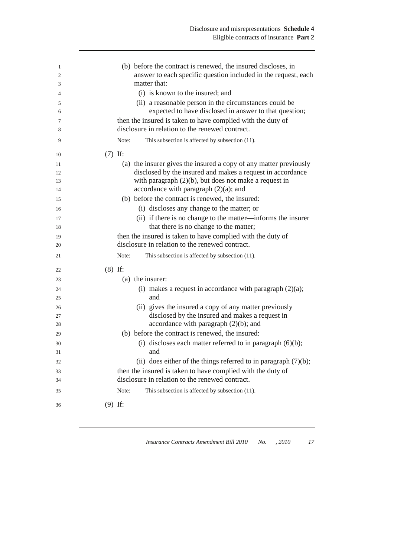| 1<br>$\overline{2}$ | (b) before the contract is renewed, the insured discloses, in<br>answer to each specific question included in the request, each |
|---------------------|---------------------------------------------------------------------------------------------------------------------------------|
| 3                   | matter that:                                                                                                                    |
| 4                   | (i) is known to the insured; and                                                                                                |
| 5                   | (ii) a reasonable person in the circumstances could be                                                                          |
| 6                   | expected to have disclosed in answer to that question;                                                                          |
| 7                   | then the insured is taken to have complied with the duty of                                                                     |
| 8                   | disclosure in relation to the renewed contract.                                                                                 |
| 9                   | This subsection is affected by subsection (11).<br>Note:                                                                        |
| 10                  | $(7)$ If:                                                                                                                       |
| 11                  | (a) the insurer gives the insured a copy of any matter previously                                                               |
| 12                  | disclosed by the insured and makes a request in accordance                                                                      |
| 13                  | with paragraph $(2)(b)$ , but does not make a request in                                                                        |
| 14                  | accordance with paragraph $(2)(a)$ ; and                                                                                        |
| 15                  | (b) before the contract is renewed, the insured:                                                                                |
| 16                  | (i) discloses any change to the matter; or                                                                                      |
| 17                  | (ii) if there is no change to the matter—informs the insurer<br>that there is no change to the matter;                          |
| 18                  | then the insured is taken to have complied with the duty of                                                                     |
| 19<br>20            | disclosure in relation to the renewed contract.                                                                                 |
| 21                  | Note:<br>This subsection is affected by subsection (11).                                                                        |
| 22                  | $(8)$ If:                                                                                                                       |
| 23                  | (a) the insurer:                                                                                                                |
| 24                  | (i) makes a request in accordance with paragraph $(2)(a)$ ;                                                                     |
| 25                  | and                                                                                                                             |
| 26                  | (ii) gives the insured a copy of any matter previously                                                                          |
| 27                  | disclosed by the insured and makes a request in                                                                                 |
| 28                  | accordance with paragraph $(2)(b)$ ; and                                                                                        |
| 29                  | (b) before the contract is renewed, the insured:                                                                                |
| 30                  | (i) discloses each matter referred to in paragraph $(6)(b)$ ;                                                                   |
| 31                  | and                                                                                                                             |
| 32                  | (ii) does either of the things referred to in paragraph $(7)(b)$ ;                                                              |
| 33                  | then the insured is taken to have complied with the duty of<br>disclosure in relation to the renewed contract.                  |
| 34                  |                                                                                                                                 |
| 35                  | This subsection is affected by subsection (11).<br>Note:                                                                        |
| 36                  | $(9)$ If:                                                                                                                       |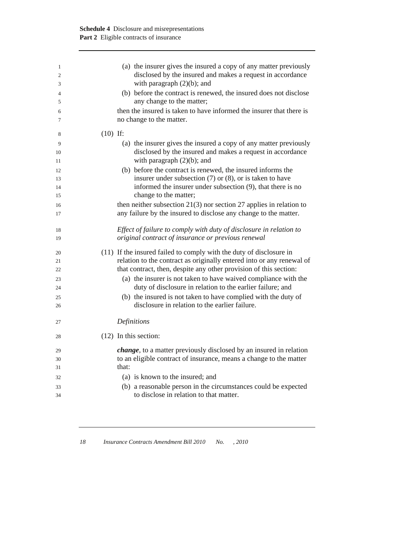| 1              | (a) the insurer gives the insured a copy of any matter previously                                                        |
|----------------|--------------------------------------------------------------------------------------------------------------------------|
| $\mathfrak{2}$ | disclosed by the insured and makes a request in accordance                                                               |
| 3              | with paragraph $(2)(b)$ ; and                                                                                            |
| 4<br>5         | (b) before the contract is renewed, the insured does not disclose<br>any change to the matter;                           |
| 6              | then the insured is taken to have informed the insurer that there is                                                     |
| 7              | no change to the matter.                                                                                                 |
| 8              | $(10)$ If:                                                                                                               |
| 9              | (a) the insurer gives the insured a copy of any matter previously                                                        |
| 10<br>11       | disclosed by the insured and makes a request in accordance<br>with paragraph $(2)(b)$ ; and                              |
| 12             | (b) before the contract is renewed, the insured informs the                                                              |
| 13             | insurer under subsection $(7)$ or $(8)$ , or is taken to have                                                            |
| 14             | informed the insurer under subsection $(9)$ , that there is no                                                           |
| 15             | change to the matter;                                                                                                    |
| 16             | then neither subsection $21(3)$ nor section 27 applies in relation to                                                    |
| 17             | any failure by the insured to disclose any change to the matter.                                                         |
|                |                                                                                                                          |
| 18<br>19       | Effect of failure to comply with duty of disclosure in relation to<br>original contract of insurance or previous renewal |
|                |                                                                                                                          |
| 20             | (11) If the insured failed to comply with the duty of disclosure in                                                      |
| 21             | relation to the contract as originally entered into or any renewal of                                                    |
| 22             | that contract, then, despite any other provision of this section:                                                        |
| 23             | (a) the insurer is not taken to have waived compliance with the                                                          |
| 24             | duty of disclosure in relation to the earlier failure; and                                                               |
| 25             | (b) the insured is not taken to have complied with the duty of                                                           |
| 26             | disclosure in relation to the earlier failure.                                                                           |
| 27             | Definitions                                                                                                              |
| 28             | $(12)$ In this section:                                                                                                  |
| 29             | <i>change</i> , to a matter previously disclosed by an insured in relation                                               |
| 30             | to an eligible contract of insurance, means a change to the matter                                                       |
| 31             | that:                                                                                                                    |
| 32             | (a) is known to the insured; and                                                                                         |
| 33             | (b) a reasonable person in the circumstances could be expected                                                           |
| 34             | to disclose in relation to that matter.                                                                                  |
|                |                                                                                                                          |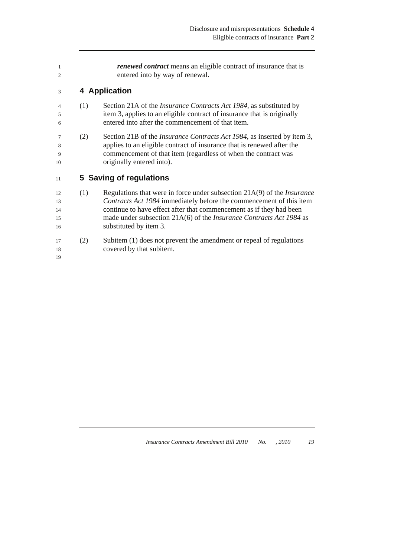| 1<br>$\overline{2}$        |     | <i>renewed contract</i> means an eligible contract of insurance that is<br>entered into by way of renewal.                                                                                                                                                                                                                      |
|----------------------------|-----|---------------------------------------------------------------------------------------------------------------------------------------------------------------------------------------------------------------------------------------------------------------------------------------------------------------------------------|
| 3                          |     | 4 Application                                                                                                                                                                                                                                                                                                                   |
| $\overline{4}$<br>5<br>6   | (1) | Section 21A of the <i>Insurance Contracts Act 1984</i> , as substituted by<br>item 3, applies to an eligible contract of insurance that is originally<br>entered into after the commencement of that item.                                                                                                                      |
| 7<br>8<br>9<br>10          | (2) | Section 21B of the <i>Insurance Contracts Act 1984</i> , as inserted by item 3,<br>applies to an eligible contract of insurance that is renewed after the<br>commencement of that item (regardless of when the contract was<br>originally entered into).                                                                        |
| 11                         |     | 5 Saving of regulations                                                                                                                                                                                                                                                                                                         |
| 12<br>13<br>14<br>15<br>16 | (1) | Regulations that were in force under subsection $21A(9)$ of the <i>Insurance</i><br>Contracts Act 1984 immediately before the commencement of this item<br>continue to have effect after that commencement as if they had been<br>made under subsection 21A(6) of the Insurance Contracts Act 1984 as<br>substituted by item 3. |
| 17<br>18<br>19             | (2) | Subitem (1) does not prevent the amendment or repeal of regulations<br>covered by that subitem.                                                                                                                                                                                                                                 |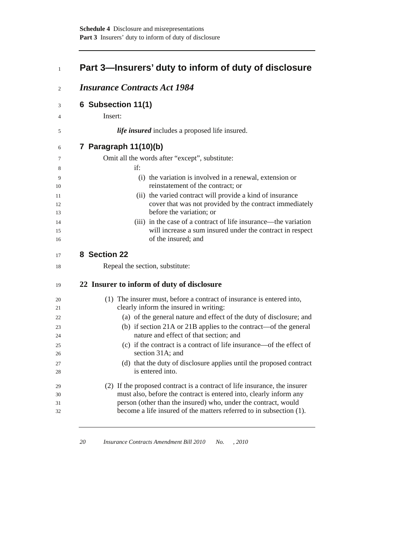# <sup>1</sup>**Part 3—Insurers' duty to inform of duty of disclosure**

| 6 Subsection 11(1)                                                                                                                                                                                                                                                                                                                                                 |
|--------------------------------------------------------------------------------------------------------------------------------------------------------------------------------------------------------------------------------------------------------------------------------------------------------------------------------------------------------------------|
| Insert:                                                                                                                                                                                                                                                                                                                                                            |
| <i>life insured</i> includes a proposed life insured.                                                                                                                                                                                                                                                                                                              |
| 7 Paragraph 11(10)(b)                                                                                                                                                                                                                                                                                                                                              |
| Omit all the words after "except", substitute:                                                                                                                                                                                                                                                                                                                     |
| if:                                                                                                                                                                                                                                                                                                                                                                |
| (i) the variation is involved in a renewal, extension or<br>reinstatement of the contract; or                                                                                                                                                                                                                                                                      |
| (ii) the varied contract will provide a kind of insurance<br>cover that was not provided by the contract immediately<br>before the variation; or                                                                                                                                                                                                                   |
| (iii) in the case of a contract of life insurance—the variation<br>will increase a sum insured under the contract in respect<br>of the insured; and                                                                                                                                                                                                                |
| 8 Section 22                                                                                                                                                                                                                                                                                                                                                       |
| Repeal the section, substitute:                                                                                                                                                                                                                                                                                                                                    |
|                                                                                                                                                                                                                                                                                                                                                                    |
| 22 Insurer to inform of duty of disclosure                                                                                                                                                                                                                                                                                                                         |
|                                                                                                                                                                                                                                                                                                                                                                    |
|                                                                                                                                                                                                                                                                                                                                                                    |
| (1) The insurer must, before a contract of insurance is entered into,<br>clearly inform the insured in writing:                                                                                                                                                                                                                                                    |
| (a) of the general nature and effect of the duty of disclosure; and                                                                                                                                                                                                                                                                                                |
|                                                                                                                                                                                                                                                                                                                                                                    |
| nature and effect of that section; and                                                                                                                                                                                                                                                                                                                             |
|                                                                                                                                                                                                                                                                                                                                                                    |
| section 31A; and                                                                                                                                                                                                                                                                                                                                                   |
| is entered into.                                                                                                                                                                                                                                                                                                                                                   |
|                                                                                                                                                                                                                                                                                                                                                                    |
| (b) if section 21A or 21B applies to the contract—of the general<br>(c) if the contract is a contract of life insurance—of the effect of<br>(d) that the duty of disclosure applies until the proposed contract<br>(2) If the proposed contract is a contract of life insurance, the insurer<br>must also, before the contract is entered into, clearly inform any |
| person (other than the insured) who, under the contract, would<br>become a life insured of the matters referred to in subsection (1).                                                                                                                                                                                                                              |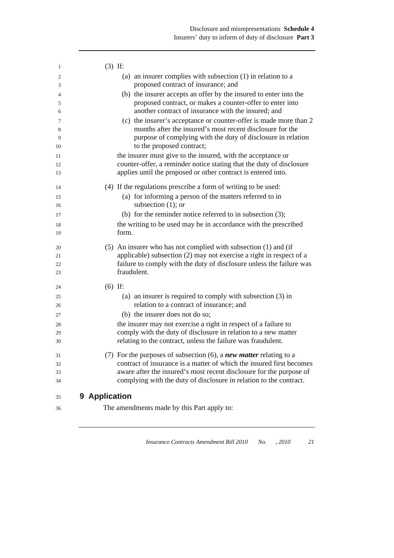| (a) an insurer complies with subsection $(1)$ in relation to a<br>2<br>proposed contract of insurance; and<br>3<br>(b) the insurer accepts an offer by the insured to enter into the<br>4<br>proposed contract, or makes a counter-offer to enter into<br>5<br>another contract of insurance with the insured; and<br>6<br>(c) the insurer's acceptance or counter-offer is made more than 2<br>7<br>months after the insured's most recent disclosure for the<br>8<br>purpose of complying with the duty of disclosure in relation<br>9<br>to the proposed contract;<br>10<br>the insurer must give to the insured, with the acceptance or<br>11<br>counter-offer, a reminder notice stating that the duty of disclosure<br>12<br>applies until the proposed or other contract is entered into.<br>13<br>(4) If the regulations prescribe a form of writing to be used:<br>14<br>(a) for informing a person of the matters referred to in<br>15<br>subsection $(1)$ ; or<br>16<br>(b) for the reminder notice referred to in subsection $(3)$ ;<br>17<br>the writing to be used may be in accordance with the prescribed<br>18<br>form.<br>19<br>(5) An insurer who has not complied with subsection (1) and (if<br>20<br>applicable) subsection (2) may not exercise a right in respect of a<br>21<br>failure to comply with the duty of disclosure unless the failure was<br>22<br>fraudulent.<br>23<br>$(6)$ If:<br>24<br>(a) an insurer is required to comply with subsection $(3)$ in<br>25<br>relation to a contract of insurance; and<br>26<br>(b) the insurer does not do so;<br>27<br>the insurer may not exercise a right in respect of a failure to<br>28<br>comply with the duty of disclosure in relation to a new matter<br>29<br>relating to the contract, unless the failure was fraudulent.<br>30<br>(7) For the purposes of subsection $(6)$ , a new matter relating to a<br>31<br>contract of insurance is a matter of which the insured first becomes<br>32<br>aware after the insured's most recent disclosure for the purpose of<br>33<br>complying with the duty of disclosure in relation to the contract.<br>34<br>9 Application<br>35<br>The amendments made by this Part apply to:<br>36 | 1 | $(3)$ If: |  |
|----------------------------------------------------------------------------------------------------------------------------------------------------------------------------------------------------------------------------------------------------------------------------------------------------------------------------------------------------------------------------------------------------------------------------------------------------------------------------------------------------------------------------------------------------------------------------------------------------------------------------------------------------------------------------------------------------------------------------------------------------------------------------------------------------------------------------------------------------------------------------------------------------------------------------------------------------------------------------------------------------------------------------------------------------------------------------------------------------------------------------------------------------------------------------------------------------------------------------------------------------------------------------------------------------------------------------------------------------------------------------------------------------------------------------------------------------------------------------------------------------------------------------------------------------------------------------------------------------------------------------------------------------------------------------------------------------------------------------------------------------------------------------------------------------------------------------------------------------------------------------------------------------------------------------------------------------------------------------------------------------------------------------------------------------------------------------------------------------------------------------------------------------------------------------------------------------------------------|---|-----------|--|
|                                                                                                                                                                                                                                                                                                                                                                                                                                                                                                                                                                                                                                                                                                                                                                                                                                                                                                                                                                                                                                                                                                                                                                                                                                                                                                                                                                                                                                                                                                                                                                                                                                                                                                                                                                                                                                                                                                                                                                                                                                                                                                                                                                                                                      |   |           |  |
|                                                                                                                                                                                                                                                                                                                                                                                                                                                                                                                                                                                                                                                                                                                                                                                                                                                                                                                                                                                                                                                                                                                                                                                                                                                                                                                                                                                                                                                                                                                                                                                                                                                                                                                                                                                                                                                                                                                                                                                                                                                                                                                                                                                                                      |   |           |  |
|                                                                                                                                                                                                                                                                                                                                                                                                                                                                                                                                                                                                                                                                                                                                                                                                                                                                                                                                                                                                                                                                                                                                                                                                                                                                                                                                                                                                                                                                                                                                                                                                                                                                                                                                                                                                                                                                                                                                                                                                                                                                                                                                                                                                                      |   |           |  |
|                                                                                                                                                                                                                                                                                                                                                                                                                                                                                                                                                                                                                                                                                                                                                                                                                                                                                                                                                                                                                                                                                                                                                                                                                                                                                                                                                                                                                                                                                                                                                                                                                                                                                                                                                                                                                                                                                                                                                                                                                                                                                                                                                                                                                      |   |           |  |
|                                                                                                                                                                                                                                                                                                                                                                                                                                                                                                                                                                                                                                                                                                                                                                                                                                                                                                                                                                                                                                                                                                                                                                                                                                                                                                                                                                                                                                                                                                                                                                                                                                                                                                                                                                                                                                                                                                                                                                                                                                                                                                                                                                                                                      |   |           |  |
|                                                                                                                                                                                                                                                                                                                                                                                                                                                                                                                                                                                                                                                                                                                                                                                                                                                                                                                                                                                                                                                                                                                                                                                                                                                                                                                                                                                                                                                                                                                                                                                                                                                                                                                                                                                                                                                                                                                                                                                                                                                                                                                                                                                                                      |   |           |  |
|                                                                                                                                                                                                                                                                                                                                                                                                                                                                                                                                                                                                                                                                                                                                                                                                                                                                                                                                                                                                                                                                                                                                                                                                                                                                                                                                                                                                                                                                                                                                                                                                                                                                                                                                                                                                                                                                                                                                                                                                                                                                                                                                                                                                                      |   |           |  |
|                                                                                                                                                                                                                                                                                                                                                                                                                                                                                                                                                                                                                                                                                                                                                                                                                                                                                                                                                                                                                                                                                                                                                                                                                                                                                                                                                                                                                                                                                                                                                                                                                                                                                                                                                                                                                                                                                                                                                                                                                                                                                                                                                                                                                      |   |           |  |
|                                                                                                                                                                                                                                                                                                                                                                                                                                                                                                                                                                                                                                                                                                                                                                                                                                                                                                                                                                                                                                                                                                                                                                                                                                                                                                                                                                                                                                                                                                                                                                                                                                                                                                                                                                                                                                                                                                                                                                                                                                                                                                                                                                                                                      |   |           |  |
|                                                                                                                                                                                                                                                                                                                                                                                                                                                                                                                                                                                                                                                                                                                                                                                                                                                                                                                                                                                                                                                                                                                                                                                                                                                                                                                                                                                                                                                                                                                                                                                                                                                                                                                                                                                                                                                                                                                                                                                                                                                                                                                                                                                                                      |   |           |  |
|                                                                                                                                                                                                                                                                                                                                                                                                                                                                                                                                                                                                                                                                                                                                                                                                                                                                                                                                                                                                                                                                                                                                                                                                                                                                                                                                                                                                                                                                                                                                                                                                                                                                                                                                                                                                                                                                                                                                                                                                                                                                                                                                                                                                                      |   |           |  |
|                                                                                                                                                                                                                                                                                                                                                                                                                                                                                                                                                                                                                                                                                                                                                                                                                                                                                                                                                                                                                                                                                                                                                                                                                                                                                                                                                                                                                                                                                                                                                                                                                                                                                                                                                                                                                                                                                                                                                                                                                                                                                                                                                                                                                      |   |           |  |
|                                                                                                                                                                                                                                                                                                                                                                                                                                                                                                                                                                                                                                                                                                                                                                                                                                                                                                                                                                                                                                                                                                                                                                                                                                                                                                                                                                                                                                                                                                                                                                                                                                                                                                                                                                                                                                                                                                                                                                                                                                                                                                                                                                                                                      |   |           |  |
|                                                                                                                                                                                                                                                                                                                                                                                                                                                                                                                                                                                                                                                                                                                                                                                                                                                                                                                                                                                                                                                                                                                                                                                                                                                                                                                                                                                                                                                                                                                                                                                                                                                                                                                                                                                                                                                                                                                                                                                                                                                                                                                                                                                                                      |   |           |  |
|                                                                                                                                                                                                                                                                                                                                                                                                                                                                                                                                                                                                                                                                                                                                                                                                                                                                                                                                                                                                                                                                                                                                                                                                                                                                                                                                                                                                                                                                                                                                                                                                                                                                                                                                                                                                                                                                                                                                                                                                                                                                                                                                                                                                                      |   |           |  |
|                                                                                                                                                                                                                                                                                                                                                                                                                                                                                                                                                                                                                                                                                                                                                                                                                                                                                                                                                                                                                                                                                                                                                                                                                                                                                                                                                                                                                                                                                                                                                                                                                                                                                                                                                                                                                                                                                                                                                                                                                                                                                                                                                                                                                      |   |           |  |
|                                                                                                                                                                                                                                                                                                                                                                                                                                                                                                                                                                                                                                                                                                                                                                                                                                                                                                                                                                                                                                                                                                                                                                                                                                                                                                                                                                                                                                                                                                                                                                                                                                                                                                                                                                                                                                                                                                                                                                                                                                                                                                                                                                                                                      |   |           |  |
|                                                                                                                                                                                                                                                                                                                                                                                                                                                                                                                                                                                                                                                                                                                                                                                                                                                                                                                                                                                                                                                                                                                                                                                                                                                                                                                                                                                                                                                                                                                                                                                                                                                                                                                                                                                                                                                                                                                                                                                                                                                                                                                                                                                                                      |   |           |  |
|                                                                                                                                                                                                                                                                                                                                                                                                                                                                                                                                                                                                                                                                                                                                                                                                                                                                                                                                                                                                                                                                                                                                                                                                                                                                                                                                                                                                                                                                                                                                                                                                                                                                                                                                                                                                                                                                                                                                                                                                                                                                                                                                                                                                                      |   |           |  |
|                                                                                                                                                                                                                                                                                                                                                                                                                                                                                                                                                                                                                                                                                                                                                                                                                                                                                                                                                                                                                                                                                                                                                                                                                                                                                                                                                                                                                                                                                                                                                                                                                                                                                                                                                                                                                                                                                                                                                                                                                                                                                                                                                                                                                      |   |           |  |
|                                                                                                                                                                                                                                                                                                                                                                                                                                                                                                                                                                                                                                                                                                                                                                                                                                                                                                                                                                                                                                                                                                                                                                                                                                                                                                                                                                                                                                                                                                                                                                                                                                                                                                                                                                                                                                                                                                                                                                                                                                                                                                                                                                                                                      |   |           |  |
|                                                                                                                                                                                                                                                                                                                                                                                                                                                                                                                                                                                                                                                                                                                                                                                                                                                                                                                                                                                                                                                                                                                                                                                                                                                                                                                                                                                                                                                                                                                                                                                                                                                                                                                                                                                                                                                                                                                                                                                                                                                                                                                                                                                                                      |   |           |  |
|                                                                                                                                                                                                                                                                                                                                                                                                                                                                                                                                                                                                                                                                                                                                                                                                                                                                                                                                                                                                                                                                                                                                                                                                                                                                                                                                                                                                                                                                                                                                                                                                                                                                                                                                                                                                                                                                                                                                                                                                                                                                                                                                                                                                                      |   |           |  |
|                                                                                                                                                                                                                                                                                                                                                                                                                                                                                                                                                                                                                                                                                                                                                                                                                                                                                                                                                                                                                                                                                                                                                                                                                                                                                                                                                                                                                                                                                                                                                                                                                                                                                                                                                                                                                                                                                                                                                                                                                                                                                                                                                                                                                      |   |           |  |
|                                                                                                                                                                                                                                                                                                                                                                                                                                                                                                                                                                                                                                                                                                                                                                                                                                                                                                                                                                                                                                                                                                                                                                                                                                                                                                                                                                                                                                                                                                                                                                                                                                                                                                                                                                                                                                                                                                                                                                                                                                                                                                                                                                                                                      |   |           |  |
|                                                                                                                                                                                                                                                                                                                                                                                                                                                                                                                                                                                                                                                                                                                                                                                                                                                                                                                                                                                                                                                                                                                                                                                                                                                                                                                                                                                                                                                                                                                                                                                                                                                                                                                                                                                                                                                                                                                                                                                                                                                                                                                                                                                                                      |   |           |  |
|                                                                                                                                                                                                                                                                                                                                                                                                                                                                                                                                                                                                                                                                                                                                                                                                                                                                                                                                                                                                                                                                                                                                                                                                                                                                                                                                                                                                                                                                                                                                                                                                                                                                                                                                                                                                                                                                                                                                                                                                                                                                                                                                                                                                                      |   |           |  |
|                                                                                                                                                                                                                                                                                                                                                                                                                                                                                                                                                                                                                                                                                                                                                                                                                                                                                                                                                                                                                                                                                                                                                                                                                                                                                                                                                                                                                                                                                                                                                                                                                                                                                                                                                                                                                                                                                                                                                                                                                                                                                                                                                                                                                      |   |           |  |
|                                                                                                                                                                                                                                                                                                                                                                                                                                                                                                                                                                                                                                                                                                                                                                                                                                                                                                                                                                                                                                                                                                                                                                                                                                                                                                                                                                                                                                                                                                                                                                                                                                                                                                                                                                                                                                                                                                                                                                                                                                                                                                                                                                                                                      |   |           |  |
|                                                                                                                                                                                                                                                                                                                                                                                                                                                                                                                                                                                                                                                                                                                                                                                                                                                                                                                                                                                                                                                                                                                                                                                                                                                                                                                                                                                                                                                                                                                                                                                                                                                                                                                                                                                                                                                                                                                                                                                                                                                                                                                                                                                                                      |   |           |  |
|                                                                                                                                                                                                                                                                                                                                                                                                                                                                                                                                                                                                                                                                                                                                                                                                                                                                                                                                                                                                                                                                                                                                                                                                                                                                                                                                                                                                                                                                                                                                                                                                                                                                                                                                                                                                                                                                                                                                                                                                                                                                                                                                                                                                                      |   |           |  |
|                                                                                                                                                                                                                                                                                                                                                                                                                                                                                                                                                                                                                                                                                                                                                                                                                                                                                                                                                                                                                                                                                                                                                                                                                                                                                                                                                                                                                                                                                                                                                                                                                                                                                                                                                                                                                                                                                                                                                                                                                                                                                                                                                                                                                      |   |           |  |
|                                                                                                                                                                                                                                                                                                                                                                                                                                                                                                                                                                                                                                                                                                                                                                                                                                                                                                                                                                                                                                                                                                                                                                                                                                                                                                                                                                                                                                                                                                                                                                                                                                                                                                                                                                                                                                                                                                                                                                                                                                                                                                                                                                                                                      |   |           |  |
|                                                                                                                                                                                                                                                                                                                                                                                                                                                                                                                                                                                                                                                                                                                                                                                                                                                                                                                                                                                                                                                                                                                                                                                                                                                                                                                                                                                                                                                                                                                                                                                                                                                                                                                                                                                                                                                                                                                                                                                                                                                                                                                                                                                                                      |   |           |  |
|                                                                                                                                                                                                                                                                                                                                                                                                                                                                                                                                                                                                                                                                                                                                                                                                                                                                                                                                                                                                                                                                                                                                                                                                                                                                                                                                                                                                                                                                                                                                                                                                                                                                                                                                                                                                                                                                                                                                                                                                                                                                                                                                                                                                                      |   |           |  |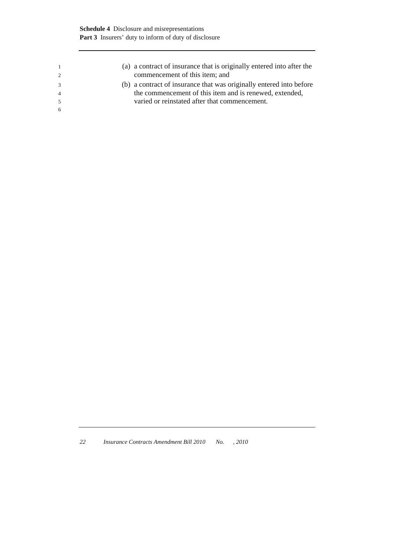| (a) a contract of insurance that is originally entered into after the<br>commencement of this item; and |
|---------------------------------------------------------------------------------------------------------|
| (b) a contract of insurance that was originally entered into before                                     |
| the commencement of this item and is renewed, extended,                                                 |
| varied or reinstated after that commencement.                                                           |
|                                                                                                         |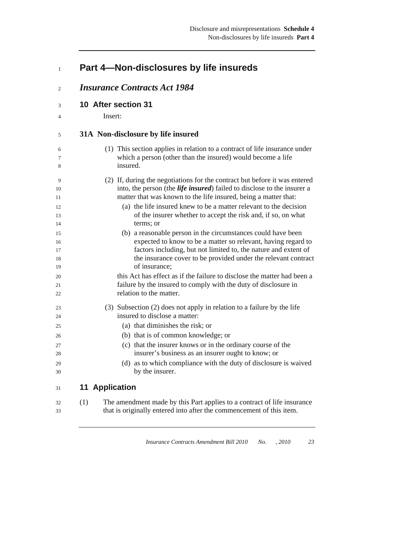### <sup>1</sup>**Part 4—Non-disclosures by life insureds**

- <sup>2</sup>*Insurance Contracts Act 1984*
- <sup>3</sup>**10 After section 31**
- 4 Insert:

#### <sup>5</sup>**31A Non-disclosure by life insured**

- 6 (1) This section applies in relation to a contract of life insurance under 7 which a person (other than the insured) would become a life 8 insured.
- 9 (2) If, during the negotiations for the contract but before it was entered 10 into, the person (the *life insured*) failed to disclose to the insurer a 11 matter that was known to the life insured, being a matter that:
- 12 (a) the life insured knew to be a matter relevant to the decision 13 of the insurer whether to accept the risk and, if so, on what 14 terms; or
- 15 (b) a reasonable person in the circumstances could have been 16 expected to know to be a matter so relevant, having regard to 17 factors including, but not limited to, the nature and extent of 18 the insurance cover to be provided under the relevant contract 19 of insurance;
- 20 this Act has effect as if the failure to disclose the matter had been a 21 failure by the insured to comply with the duty of disclosure in 22 relation to the matter.
- 23 (3) Subsection (2) does not apply in relation to a failure by the life 24 insured to disclose a matter:
- 25 (a) that diminishes the risk; or
- 26 (b) that is of common knowledge; or
- 27 (c) that the insurer knows or in the ordinary course of the 28 insurer's business as an insurer ought to know; or
- 29 (d) as to which compliance with the duty of disclosure is waived 30 by the insurer.

### <sup>31</sup>**11 Application**

32 (1) The amendment made by this Part applies to a contract of life insurance 33 that is originally entered into after the commencement of this item.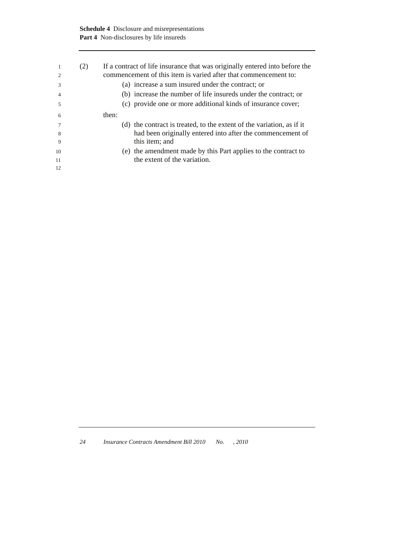|    | (2) | If a contract of life insurance that was originally entered into before the<br>commencement of this item is varied after that commencement to: |
|----|-----|------------------------------------------------------------------------------------------------------------------------------------------------|
| 3  |     | (a) increase a sum insured under the contract; or                                                                                              |
|    |     | (b) increase the number of life insureds under the contract; or                                                                                |
| 5  |     | (c) provide one or more additional kinds of insurance cover;                                                                                   |
| 6  |     | then:                                                                                                                                          |
|    |     | (d) the contract is treated, to the extent of the variation, as if it                                                                          |
| 8  |     | had been originally entered into after the commencement of                                                                                     |
| 9  |     | this item; and                                                                                                                                 |
| 10 |     | (e) the amendment made by this Part applies to the contract to                                                                                 |
| 11 |     | the extent of the variation.                                                                                                                   |
| 12 |     |                                                                                                                                                |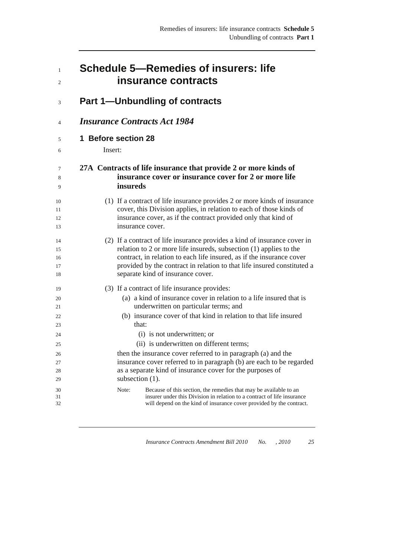| $\mathbf{1}$   | <b>Schedule 5––Remedies of insurers: life</b>                                                                                                                                                                                 |
|----------------|-------------------------------------------------------------------------------------------------------------------------------------------------------------------------------------------------------------------------------|
| 2              | insurance contracts                                                                                                                                                                                                           |
| 3              | <b>Part 1--Unbundling of contracts</b>                                                                                                                                                                                        |
| $\overline{4}$ | <b>Insurance Contracts Act 1984</b>                                                                                                                                                                                           |
| 5              | 1 Before section 28                                                                                                                                                                                                           |
| 6              | Insert:                                                                                                                                                                                                                       |
| 7              | 27A Contracts of life insurance that provide 2 or more kinds of                                                                                                                                                               |
| 8              | insurance cover or insurance cover for 2 or more life                                                                                                                                                                         |
| 9              | insureds                                                                                                                                                                                                                      |
| 10             | (1) If a contract of life insurance provides 2 or more kinds of insurance                                                                                                                                                     |
| 11             | cover, this Division applies, in relation to each of those kinds of                                                                                                                                                           |
| 12             | insurance cover, as if the contract provided only that kind of                                                                                                                                                                |
| 13             | insurance cover.                                                                                                                                                                                                              |
| 14             | (2) If a contract of life insurance provides a kind of insurance cover in                                                                                                                                                     |
| 15             | relation to 2 or more life insureds, subsection $(1)$ applies to the                                                                                                                                                          |
| 16             | contract, in relation to each life insured, as if the insurance cover                                                                                                                                                         |
| 17             | provided by the contract in relation to that life insured constituted a                                                                                                                                                       |
| 18             | separate kind of insurance cover.                                                                                                                                                                                             |
| 19             | (3) If a contract of life insurance provides:                                                                                                                                                                                 |
| 20             | (a) a kind of insurance cover in relation to a life insured that is                                                                                                                                                           |
| 21             | underwritten on particular terms; and                                                                                                                                                                                         |
| 22             | (b) insurance cover of that kind in relation to that life insured                                                                                                                                                             |
| 23             | that:                                                                                                                                                                                                                         |
| 24             | (i) is not underwritten; or                                                                                                                                                                                                   |
| 25             | (ii) is underwritten on different terms;                                                                                                                                                                                      |
| 26             | then the insurance cover referred to in paragraph (a) and the                                                                                                                                                                 |
| 27             | insurance cover referred to in paragraph (b) are each to be regarded                                                                                                                                                          |
| 28             | as a separate kind of insurance cover for the purposes of                                                                                                                                                                     |
| 29             | subsection (1).                                                                                                                                                                                                               |
| 30<br>31<br>32 | Because of this section, the remedies that may be available to an<br>Note:<br>insurer under this Division in relation to a contract of life insurance<br>will depend on the kind of insurance cover provided by the contract. |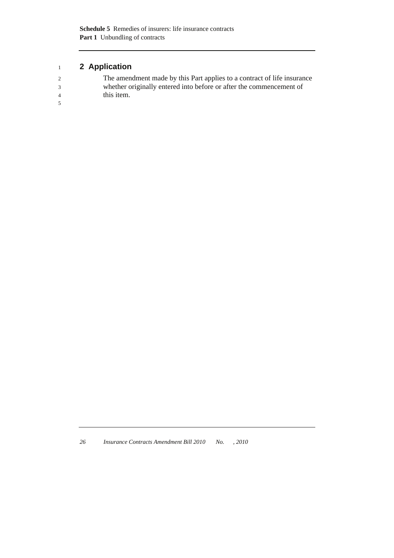# <sup>1</sup>**2 Application**

| $2^{1}$        | The amendment made by this Part applies to a contract of life insurance |
|----------------|-------------------------------------------------------------------------|
| $\mathcal{R}$  | whether originally entered into before or after the commencement of     |
| $\overline{4}$ | this item.                                                              |
| $\sim$         |                                                                         |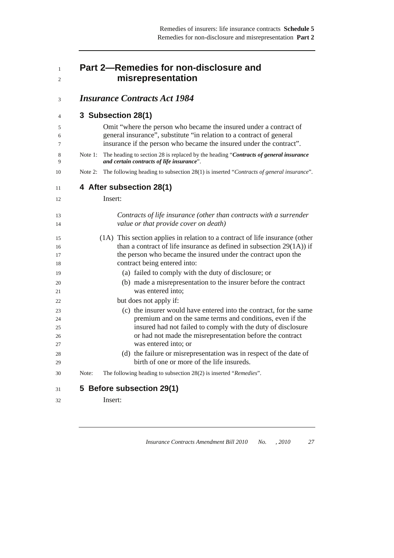# <sup>1</sup>**Part 2—Remedies for non-disclosure and**  <sup>2</sup>**misrepresentation**

# <sup>3</sup>*Insurance Contracts Act 1984*

# <sup>4</sup>**3 Subsection 28(1)**

| 4              |         | <b>J</b> JUDSECHUIL ZOLI                                                                                                                                                                                                  |
|----------------|---------|---------------------------------------------------------------------------------------------------------------------------------------------------------------------------------------------------------------------------|
| 5<br>6<br>7    |         | Omit "where the person who became the insured under a contract of<br>general insurance", substitute "in relation to a contract of general<br>insurance if the person who became the insured under the contract".          |
| 8<br>9         | Note 1: | The heading to section 28 is replaced by the heading "Contracts of general insurance<br>and certain contracts of life insurance".                                                                                         |
| 10             | Note 2: | The following heading to subsection 28(1) is inserted "Contracts of general insurance".                                                                                                                                   |
| 11             |         | 4 After subsection 28(1)                                                                                                                                                                                                  |
| 12             |         | Insert:                                                                                                                                                                                                                   |
| 13<br>14       |         | Contracts of life insurance (other than contracts with a surrender<br>value or that provide cover on death)                                                                                                               |
| 15<br>16<br>17 |         | (1A) This section applies in relation to a contract of life insurance (other<br>than a contract of life insurance as defined in subsection $29(1A)$ ) if<br>the person who became the insured under the contract upon the |
| 18<br>19       |         | contract being entered into:<br>(a) failed to comply with the duty of disclosure; or                                                                                                                                      |
| 20<br>21       |         | (b) made a misrepresentation to the insurer before the contract<br>was entered into:                                                                                                                                      |
| 22             |         | but does not apply if:                                                                                                                                                                                                    |
| 23<br>24       |         | (c) the insurer would have entered into the contract, for the same<br>premium and on the same terms and conditions, even if the                                                                                           |
| 25<br>26       |         | insured had not failed to comply with the duty of disclosure<br>or had not made the misrepresentation before the contract                                                                                                 |
| 27             |         | was entered into; or                                                                                                                                                                                                      |
| 28<br>29       |         | (d) the failure or misrepresentation was in respect of the date of<br>birth of one or more of the life insureds.                                                                                                          |
| 30             | Note:   | The following heading to subsection 28(2) is inserted "Remedies".                                                                                                                                                         |
| 31             |         | 5 Before subsection 29(1)                                                                                                                                                                                                 |
| 32             |         | Insert:                                                                                                                                                                                                                   |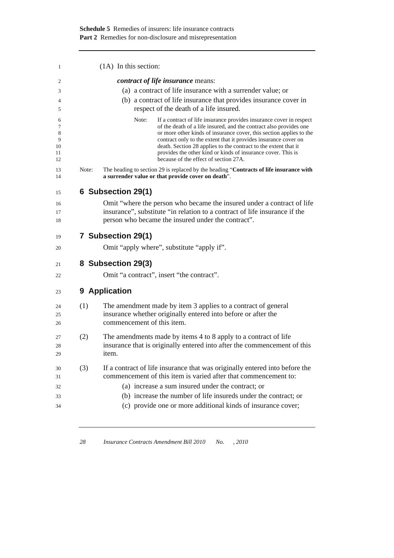| 1                                  |       | $(1A)$ In this section:                                                                                                                                                                                                                                                                                                                                                                                                                                                  |
|------------------------------------|-------|--------------------------------------------------------------------------------------------------------------------------------------------------------------------------------------------------------------------------------------------------------------------------------------------------------------------------------------------------------------------------------------------------------------------------------------------------------------------------|
| 2                                  |       | <i>contract of life insurance</i> means:                                                                                                                                                                                                                                                                                                                                                                                                                                 |
| 3                                  |       | (a) a contract of life insurance with a surrender value; or                                                                                                                                                                                                                                                                                                                                                                                                              |
| 4                                  |       | (b) a contract of life insurance that provides insurance cover in                                                                                                                                                                                                                                                                                                                                                                                                        |
| 5                                  |       | respect of the death of a life insured.                                                                                                                                                                                                                                                                                                                                                                                                                                  |
| 6<br>7<br>8<br>9<br>10<br>11<br>12 |       | Note:<br>If a contract of life insurance provides insurance cover in respect<br>of the death of a life insured, and the contract also provides one<br>or more other kinds of insurance cover, this section applies to the<br>contract only to the extent that it provides insurance cover on<br>death. Section 28 applies to the contract to the extent that it<br>provides the other kind or kinds of insurance cover. This is<br>because of the effect of section 27A. |
| 13<br>14                           | Note: | The heading to section 29 is replaced by the heading "Contracts of life insurance with<br>a surrender value or that provide cover on death".                                                                                                                                                                                                                                                                                                                             |
| 15                                 |       | 6 Subsection 29(1)                                                                                                                                                                                                                                                                                                                                                                                                                                                       |
| 16                                 |       | Omit "where the person who became the insured under a contract of life                                                                                                                                                                                                                                                                                                                                                                                                   |
| 17                                 |       | insurance", substitute "in relation to a contract of life insurance if the                                                                                                                                                                                                                                                                                                                                                                                               |
| 18                                 |       | person who became the insured under the contract".                                                                                                                                                                                                                                                                                                                                                                                                                       |
| 19                                 |       | 7 Subsection 29(1)                                                                                                                                                                                                                                                                                                                                                                                                                                                       |
| 20                                 |       | Omit "apply where", substitute "apply if".                                                                                                                                                                                                                                                                                                                                                                                                                               |
| 21                                 |       | 8 Subsection 29(3)                                                                                                                                                                                                                                                                                                                                                                                                                                                       |
| 22                                 |       | Omit "a contract", insert "the contract".                                                                                                                                                                                                                                                                                                                                                                                                                                |
| 23                                 |       | 9 Application                                                                                                                                                                                                                                                                                                                                                                                                                                                            |
| 24                                 | (1)   | The amendment made by item 3 applies to a contract of general                                                                                                                                                                                                                                                                                                                                                                                                            |
| 25                                 |       | insurance whether originally entered into before or after the                                                                                                                                                                                                                                                                                                                                                                                                            |
| 26                                 |       | commencement of this item.                                                                                                                                                                                                                                                                                                                                                                                                                                               |
| 27                                 | (2)   | The amendments made by items 4 to 8 apply to a contract of life                                                                                                                                                                                                                                                                                                                                                                                                          |
| 28                                 |       | insurance that is originally entered into after the commencement of this                                                                                                                                                                                                                                                                                                                                                                                                 |
| 29                                 |       | item.                                                                                                                                                                                                                                                                                                                                                                                                                                                                    |
| 30                                 | (3)   | If a contract of life insurance that was originally entered into before the                                                                                                                                                                                                                                                                                                                                                                                              |
| 31                                 |       | commencement of this item is varied after that commencement to:                                                                                                                                                                                                                                                                                                                                                                                                          |
| 32                                 |       | (a) increase a sum insured under the contract; or                                                                                                                                                                                                                                                                                                                                                                                                                        |
| 33                                 |       | (b) increase the number of life insureds under the contract; or                                                                                                                                                                                                                                                                                                                                                                                                          |
| 34                                 |       | (c) provide one or more additional kinds of insurance cover;                                                                                                                                                                                                                                                                                                                                                                                                             |
|                                    |       |                                                                                                                                                                                                                                                                                                                                                                                                                                                                          |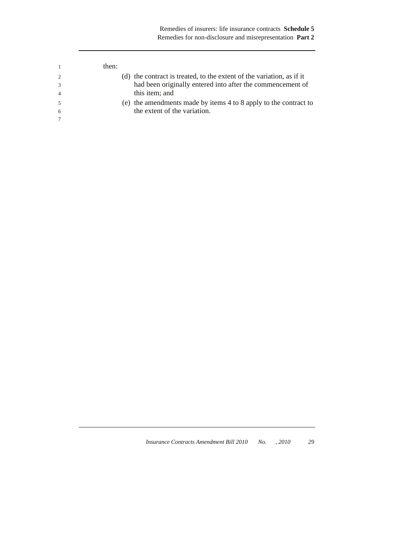|   | then:                                                                 |  |
|---|-----------------------------------------------------------------------|--|
|   | (d) the contract is treated, to the extent of the variation, as if it |  |
|   | had been originally entered into after the commencement of            |  |
|   | this item; and                                                        |  |
|   | (e) the amendments made by items 4 to 8 apply to the contract to      |  |
| 6 | the extent of the variation.                                          |  |
|   |                                                                       |  |
|   |                                                                       |  |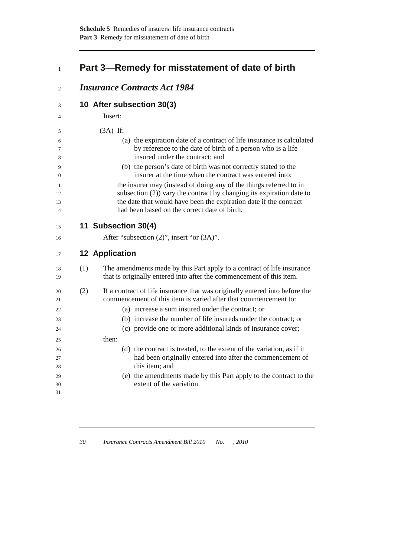# <sup>1</sup>**Part 3—Remedy for misstatement of date of birth**

| 2                     | <b>Insurance Contracts Act 1984</b>                                                                                                                                                                                                                                |
|-----------------------|--------------------------------------------------------------------------------------------------------------------------------------------------------------------------------------------------------------------------------------------------------------------|
| 3                     | 10 After subsection 30(3)                                                                                                                                                                                                                                          |
| 4                     | Insert:                                                                                                                                                                                                                                                            |
| 5                     | $(3A)$ If:                                                                                                                                                                                                                                                         |
| 6<br>7<br>8           | (a) the expiration date of a contract of life insurance is calculated<br>by reference to the date of birth of a person who is a life<br>insured under the contract; and                                                                                            |
| 9<br>10               | (b) the person's date of birth was not correctly stated to the<br>insurer at the time when the contract was entered into;                                                                                                                                          |
| 11<br>12<br>13<br>14  | the insurer may (instead of doing any of the things referred to in<br>subsection $(2)$ ) vary the contract by changing its expiration date to<br>the date that would have been the expiration date if the contract<br>had been based on the correct date of birth. |
| 15                    | 11 Subsection 30(4)                                                                                                                                                                                                                                                |
| 16                    | After "subsection (2)", insert "or (3A)".                                                                                                                                                                                                                          |
| 17                    | <b>12 Application</b>                                                                                                                                                                                                                                              |
| (1)<br>18<br>19       | The amendments made by this Part apply to a contract of life insurance<br>that is originally entered into after the commencement of this item.                                                                                                                     |
| (2)<br>20<br>21<br>22 | If a contract of life insurance that was originally entered into before the<br>commencement of this item is varied after that commencement to:<br>(a) increase a sum insured under the contract; or                                                                |
| 23<br>24              | (b) increase the number of life insureds under the contract; or<br>(c) provide one or more additional kinds of insurance cover;                                                                                                                                    |
| 25                    | then:                                                                                                                                                                                                                                                              |
| 26<br>27<br>28        | (d) the contract is treated, to the extent of the variation, as if it<br>had been originally entered into after the commencement of<br>this item; and                                                                                                              |
| 29<br>30<br>31        | (e) the amendments made by this Part apply to the contract to the<br>extent of the variation.                                                                                                                                                                      |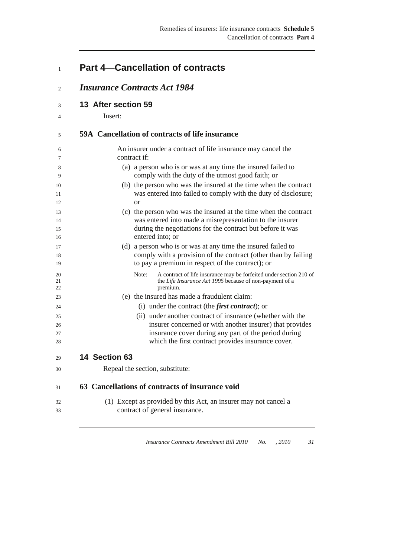# <sup>1</sup>**Part 4—Cancellation of contracts**

<sup>2</sup>*Insurance Contracts Act 1984*

33 contract of general insurance.

- <sup>3</sup>**13 After section 59**
- 4 Insert:

### <sup>5</sup>**59A Cancellation of contracts of life insurance**

| C              | 59A - Cancenation of contracts of the msurance                                                                                                     |  |
|----------------|----------------------------------------------------------------------------------------------------------------------------------------------------|--|
| 6              | An insurer under a contract of life insurance may cancel the<br>contract if:                                                                       |  |
| 7              |                                                                                                                                                    |  |
| 8<br>9         | (a) a person who is or was at any time the insured failed to<br>comply with the duty of the utmost good faith; or                                  |  |
| 10<br>11       | (b) the person who was the insured at the time when the contract<br>was entered into failed to comply with the duty of disclosure;                 |  |
| 12             | <sub>or</sub>                                                                                                                                      |  |
| 13             | (c) the person who was the insured at the time when the contract                                                                                   |  |
| 14             | was entered into made a misrepresentation to the insurer                                                                                           |  |
| 15             | during the negotiations for the contract but before it was                                                                                         |  |
| 16             | entered into; or                                                                                                                                   |  |
| 17             | (d) a person who is or was at any time the insured failed to                                                                                       |  |
| 18             | comply with a provision of the contract (other than by failing                                                                                     |  |
| 19             | to pay a premium in respect of the contract); or                                                                                                   |  |
| 20<br>21<br>22 | Note:<br>A contract of life insurance may be forfeited under section 210 of<br>the Life Insurance Act 1995 because of non-payment of a<br>premium. |  |
| 23             | (e) the insured has made a fraudulent claim:                                                                                                       |  |
| 24             | (i) under the contract (the <i>first contract</i> ); or                                                                                            |  |
| 25             | (ii) under another contract of insurance (whether with the                                                                                         |  |
| 26             | insurer concerned or with another insurer) that provides                                                                                           |  |
| 27             | insurance cover during any part of the period during                                                                                               |  |
| 28             | which the first contract provides insurance cover.                                                                                                 |  |
| 29             | 14 Section 63                                                                                                                                      |  |
| 30             | Repeal the section, substitute:                                                                                                                    |  |
|                |                                                                                                                                                    |  |
| 31             | 63 Cancellations of contracts of insurance void                                                                                                    |  |
| 32             | (1) Except as provided by this Act, an insurer may not cancel a                                                                                    |  |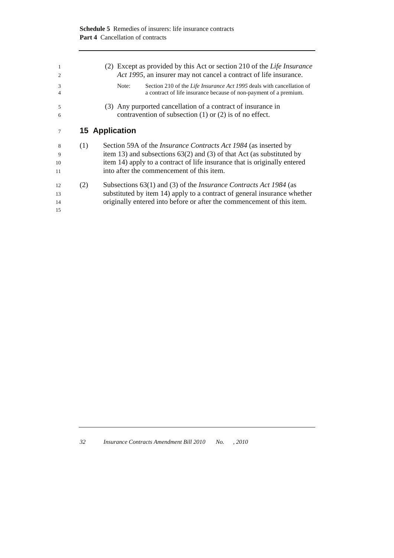| 1<br>$\overline{2}$  |     | (2) Except as provided by this Act or section 210 of the Life Insurance<br>Act 1995, an insurer may not cancel a contract of life insurance.                                                                                                                                |
|----------------------|-----|-----------------------------------------------------------------------------------------------------------------------------------------------------------------------------------------------------------------------------------------------------------------------------|
| 3<br>$\overline{4}$  |     | Section 210 of the <i>Life Insurance Act 1995</i> deals with cancellation of<br>Note:<br>a contract of life insurance because of non-payment of a premium.                                                                                                                  |
| 5<br>6               |     | (3) Any purported cancellation of a contract of insurance in<br>contravention of subsection $(1)$ or $(2)$ is of no effect.                                                                                                                                                 |
| 7                    |     | <b>15 Application</b>                                                                                                                                                                                                                                                       |
| 8<br>9<br>10<br>11   | (1) | Section 59A of the <i>Insurance Contracts Act 1984</i> (as inserted by<br>item 13) and subsections $63(2)$ and (3) of that Act (as substituted by<br>item 14) apply to a contract of life insurance that is originally entered<br>into after the commencement of this item. |
| 12<br>13<br>14<br>15 | (2) | Subsections 63(1) and (3) of the <i>Insurance Contracts Act 1984</i> (as<br>substituted by item 14) apply to a contract of general insurance whether<br>originally entered into before or after the commencement of this item.                                              |

| 32<br>Insurance Contracts Amendment Bill 2010 | No. | .2010 |
|-----------------------------------------------|-----|-------|
|-----------------------------------------------|-----|-------|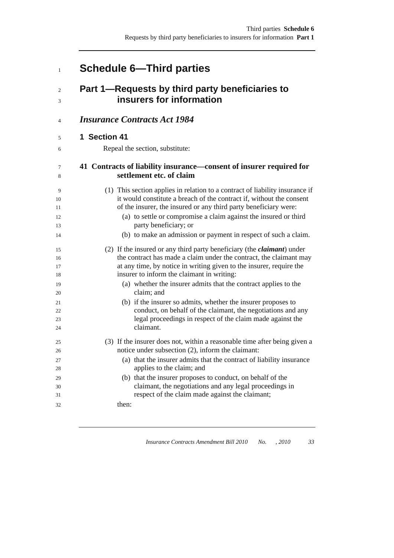# <sup>1</sup>**Schedule 6—Third parties**

# <sup>2</sup>**Part 1—Requests by third party beneficiaries to**  <sup>3</sup>**insurers for information**

### <sup>4</sup>*Insurance Contracts Act 1984*

### <sup>5</sup>**1 Section 41**

6 Repeal the section, substitute:

### <sup>7</sup>**41 Contracts of liability insurance—consent of insurer required for**  <sup>8</sup>**settlement etc. of claim**

| $\circ$ | sculchicht cu. vi ciann                                                        |
|---------|--------------------------------------------------------------------------------|
| 9       | (1) This section applies in relation to a contract of liability insurance if   |
| 10      | it would constitute a breach of the contract if, without the consent           |
| 11      | of the insurer, the insured or any third party beneficiary were:               |
| 12      | (a) to settle or compromise a claim against the insured or third               |
| 13      | party beneficiary; or                                                          |
| 14      | (b) to make an admission or payment in respect of such a claim.                |
| 15      | (2) If the insured or any third party beneficiary (the <i>claimant</i> ) under |
| 16      | the contract has made a claim under the contract, the claimant may             |
| 17      | at any time, by notice in writing given to the insurer, require the            |
| 18      | insurer to inform the claimant in writing:                                     |
| 19      | (a) whether the insurer admits that the contract applies to the                |
| 20      | claim; and                                                                     |
| 21      | (b) if the insurer so admits, whether the insurer proposes to                  |
| 22      | conduct, on behalf of the claimant, the negotiations and any                   |
| 23      | legal proceedings in respect of the claim made against the                     |
| 24      | claimant.                                                                      |
| 25      | (3) If the insurer does not, within a reasonable time after being given a      |
| 26      | notice under subsection (2), inform the claimant:                              |
| 27      | (a) that the insurer admits that the contract of liability insurance           |
| 28      | applies to the claim; and                                                      |
| 29      | (b) that the insurer proposes to conduct, on behalf of the                     |
| 30      | claimant, the negotiations and any legal proceedings in                        |
| 31      | respect of the claim made against the claimant;                                |
| 32      | then:                                                                          |
|         |                                                                                |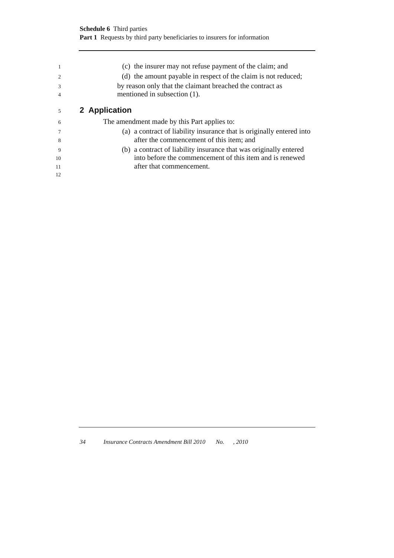|    | (c) the insurer may not refuse payment of the claim; and              |
|----|-----------------------------------------------------------------------|
|    | (d) the amount payable in respect of the claim is not reduced;        |
| 3  | by reason only that the claimant breached the contract as             |
|    | mentioned in subsection (1).                                          |
| 5  | 2 Application                                                         |
| 6  | The amendment made by this Part applies to:                           |
|    | (a) a contract of liability insurance that is originally entered into |
| 8  | after the commencement of this item; and                              |
| 9  | (b) a contract of liability insurance that was originally entered     |
| 10 | into before the commencement of this item and is renewed              |
| 11 | after that commencement.                                              |

12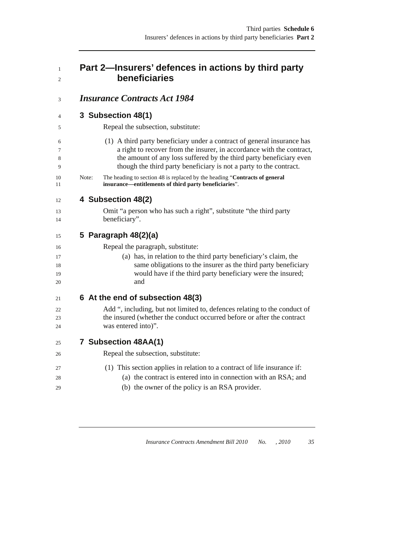### <sup>1</sup>**Part 2—Insurers' defences in actions by third party**  <sup>2</sup>**beneficiaries**

### <sup>3</sup>*Insurance Contracts Act 1984*

### <sup>4</sup>**3 Subsection 48(1)**

5 Repeal the subsection, substitute:

6 (1) A third party beneficiary under a contract of general insurance has 7 a right to recover from the insurer, in accordance with the contract, 8 the amount of any loss suffered by the third party beneficiary even 9 though the third party beneficiary is not a party to the contract.

10 Note: The heading to section 48 is replaced by the heading "**Contracts of general**  insurance—entitlements of third party beneficiaries".

### <sup>12</sup>**4 Subsection 48(2)**

13 Omit "a person who has such a right", substitute "the third party 14 beneficiary".

### <sup>15</sup>**5 Paragraph 48(2)(a)**

| 16 | Repeal the paragraph, substitute:                                         |
|----|---------------------------------------------------------------------------|
| 17 | (a) has, in relation to the third party beneficiary's claim, the          |
| 18 | same obligations to the insurer as the third party beneficiary            |
| 19 | would have if the third party beneficiary were the insured;               |
| 20 | and                                                                       |
| 21 | 6 At the end of subsection 48(3)                                          |
| 22 | Add ", including, but not limited to, defences relating to the conduct of |
| 23 | the insured (whether the conduct occurred before or after the contract    |
| 24 | was entered into)".                                                       |
| 25 | 7 Subsection 48AA(1)                                                      |
| 26 | Repeal the subsection, substitute:                                        |
| 27 | (1) This section applies in relation to a contract of life insurance if:  |
| 28 | (a) the contract is entered into in connection with an RSA; and           |

29 (b) the owner of the policy is an RSA provider.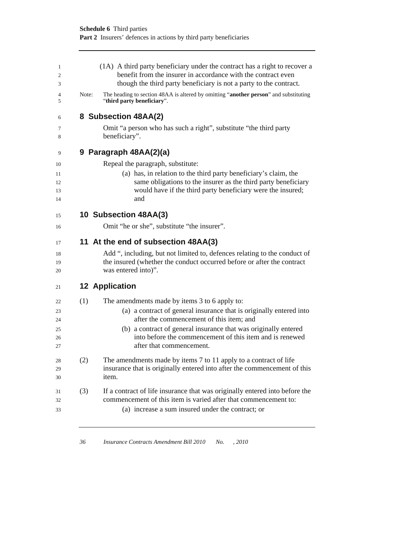|       | (1A) A third party beneficiary under the contract has a right to recover a<br>benefit from the insurer in accordance with the contract even<br>though the third party beneficiary is not a party to the contract.                                                                                                           |
|-------|-----------------------------------------------------------------------------------------------------------------------------------------------------------------------------------------------------------------------------------------------------------------------------------------------------------------------------|
| Note: | The heading to section 48AA is altered by omitting "another person" and substituting<br>"third party beneficiary".                                                                                                                                                                                                          |
|       | 8 Subsection 48AA(2)                                                                                                                                                                                                                                                                                                        |
|       | Omit "a person who has such a right", substitute "the third party<br>beneficiary".                                                                                                                                                                                                                                          |
|       | 9 Paragraph 48AA(2)(a)                                                                                                                                                                                                                                                                                                      |
|       | Repeal the paragraph, substitute:                                                                                                                                                                                                                                                                                           |
|       | (a) has, in relation to the third party beneficiary's claim, the<br>same obligations to the insurer as the third party beneficiary<br>would have if the third party beneficiary were the insured;<br>and                                                                                                                    |
|       | 10 Subsection 48AA(3)                                                                                                                                                                                                                                                                                                       |
|       | Omit "he or she", substitute "the insurer".                                                                                                                                                                                                                                                                                 |
|       | 11 At the end of subsection 48AA(3)                                                                                                                                                                                                                                                                                         |
|       | Add ", including, but not limited to, defences relating to the conduct of<br>the insured (whether the conduct occurred before or after the contract<br>was entered into)".                                                                                                                                                  |
|       | <b>12 Application</b>                                                                                                                                                                                                                                                                                                       |
| (1)   | The amendments made by items 3 to 6 apply to:<br>(a) a contract of general insurance that is originally entered into<br>after the commencement of this item; and<br>(b) a contract of general insurance that was originally entered<br>into before the commencement of this item and is renewed<br>after that commencement. |
| (2)   | The amendments made by items 7 to 11 apply to a contract of life<br>insurance that is originally entered into after the commencement of this<br>item.                                                                                                                                                                       |
| (3)   | If a contract of life insurance that was originally entered into before the<br>commencement of this item is varied after that commencement to:<br>(a) increase a sum insured under the contract; or                                                                                                                         |
|       |                                                                                                                                                                                                                                                                                                                             |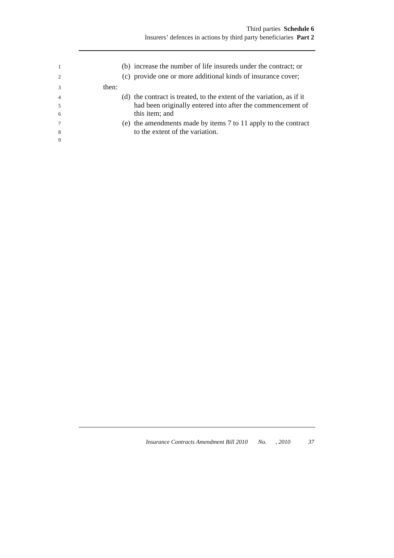| $\overline{2}$ |       | (b) increase the number of life insureds under the contract; or<br>(c) provide one or more additional kinds of insurance cover; |
|----------------|-------|---------------------------------------------------------------------------------------------------------------------------------|
| $\mathcal{R}$  | then: |                                                                                                                                 |
| $\overline{4}$ |       | (d) the contract is treated, to the extent of the variation, as if it                                                           |
|                |       | had been originally entered into after the commencement of                                                                      |
| -6             |       | this item; and                                                                                                                  |
|                |       | (e) the amendments made by items 7 to 11 apply to the contract                                                                  |
| 8              |       | to the extent of the variation.                                                                                                 |
| 9              |       |                                                                                                                                 |
|                |       |                                                                                                                                 |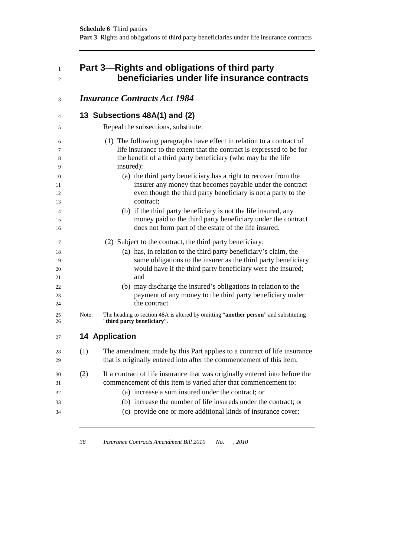# <sup>1</sup>**Part 3—Rights and obligations of third party**  <sup>2</sup>**beneficiaries under life insurance contracts**

| 3        |       | <b>Insurance Contracts Act 1984</b>                                                                                         |
|----------|-------|-----------------------------------------------------------------------------------------------------------------------------|
| 4        |       | 13 Subsections 48A(1) and (2)                                                                                               |
| 5        |       | Repeal the subsections, substitute:                                                                                         |
| 6        |       | (1) The following paragraphs have effect in relation to a contract of                                                       |
| 7        |       | life insurance to the extent that the contract is expressed to be for                                                       |
| 8<br>9   |       | the benefit of a third party beneficiary (who may be the life<br>insured):                                                  |
| 10       |       | (a) the third party beneficiary has a right to recover from the                                                             |
| 11       |       | insurer any money that becomes payable under the contract                                                                   |
| 12       |       | even though the third party beneficiary is not a party to the                                                               |
| 13       |       | contract:                                                                                                                   |
| 14       |       | (b) if the third party beneficiary is not the life insured, any                                                             |
| 15       |       | money paid to the third party beneficiary under the contract                                                                |
| 16       |       | does not form part of the estate of the life insured.                                                                       |
| 17       |       | (2) Subject to the contract, the third party beneficiary:                                                                   |
| 18       |       | (a) has, in relation to the third party beneficiary's claim, the                                                            |
| 19       |       | same obligations to the insurer as the third party beneficiary                                                              |
| 20       |       | would have if the third party beneficiary were the insured;                                                                 |
| 21       |       | and                                                                                                                         |
| 22       |       | (b) may discharge the insured's obligations in relation to the<br>payment of any money to the third party beneficiary under |
| 23<br>24 |       | the contract.                                                                                                               |
|          |       |                                                                                                                             |
| 25<br>26 | Note: | The heading to section 48A is altered by omitting "another person" and substituting<br>"third party beneficiary".           |
| 27       |       | <b>14 Application</b>                                                                                                       |
| 28       | (1)   | The amendment made by this Part applies to a contract of life insurance                                                     |
| 29       |       | that is originally entered into after the commencement of this item.                                                        |
|          | (2)   | If a contract of life insurance that was originally entered into before the                                                 |
| 30<br>31 |       | commencement of this item is varied after that commencement to:                                                             |
| 32       |       | (a) increase a sum insured under the contract; or                                                                           |
|          |       | (b) increase the number of life insureds under the contract; or                                                             |
| 33       |       | (c) provide one or more additional kinds of insurance cover;                                                                |
| 34       |       |                                                                                                                             |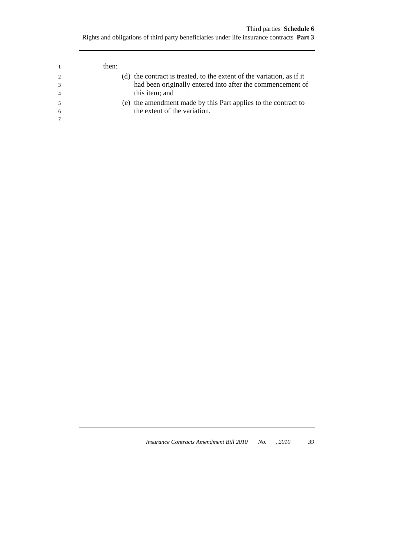|                | then: |                                                                       |
|----------------|-------|-----------------------------------------------------------------------|
| $\mathcal{L}$  |       | (d) the contract is treated, to the extent of the variation, as if it |
| $\mathcal{R}$  |       | had been originally entered into after the commencement of            |
| $\overline{4}$ |       | this item; and                                                        |
|                |       | (e) the amendment made by this Part applies to the contract to        |
| 6              |       | the extent of the variation.                                          |
|                |       |                                                                       |
|                |       |                                                                       |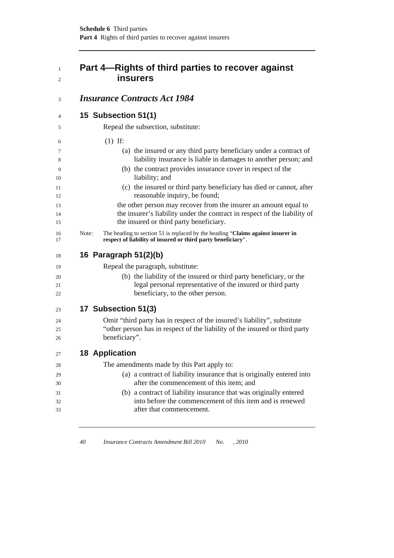# <sup>1</sup>**Part 4—Rights of third parties to recover against**  <sup>2</sup>**insurers**

### <sup>3</sup>*Insurance Contracts Act 1984*

## <sup>4</sup>**15 Subsection 51(1)**

| 5              |       | Repeal the subsection, substitute:                                                                                                                                                       |
|----------------|-------|------------------------------------------------------------------------------------------------------------------------------------------------------------------------------------------|
| 6              |       | $(1)$ If:                                                                                                                                                                                |
| 7              |       | (a) the insured or any third party beneficiary under a contract of                                                                                                                       |
| 8              |       | liability insurance is liable in damages to another person; and                                                                                                                          |
| 9<br>10        |       | (b) the contract provides insurance cover in respect of the<br>liability; and                                                                                                            |
| 11<br>12       |       | (c) the insured or third party beneficiary has died or cannot, after<br>reasonable inquiry, be found;                                                                                    |
| 13<br>14<br>15 |       | the other person may recover from the insurer an amount equal to<br>the insurer's liability under the contract in respect of the liability of<br>the insured or third party beneficiary. |
| 16<br>17       | Note: | The heading to section 51 is replaced by the heading "Claims against insurer in<br>respect of liability of insured or third party beneficiary".                                          |
| 18             |       | 16 Paragraph 51(2)(b)                                                                                                                                                                    |
| 19             |       | Repeal the paragraph, substitute:                                                                                                                                                        |
| 20<br>21<br>22 |       | (b) the liability of the insured or third party beneficiary, or the<br>legal personal representative of the insured or third party<br>beneficiary, to the other person.                  |
| 23             |       | 17 Subsection 51(3)                                                                                                                                                                      |
| 24             |       | Omit "third party has in respect of the insured's liability", substitute                                                                                                                 |
| 25<br>26       |       | "other person has in respect of the liability of the insured or third party<br>beneficiary".                                                                                             |
| 27             |       | <b>18 Application</b>                                                                                                                                                                    |
| 28             |       | The amendments made by this Part apply to:                                                                                                                                               |
| 29             |       | (a) a contract of liability insurance that is originally entered into                                                                                                                    |
| 30             |       | after the commencement of this item; and                                                                                                                                                 |
| 31             |       | (b) a contract of liability insurance that was originally entered                                                                                                                        |
| 32             |       | into before the commencement of this item and is renewed                                                                                                                                 |
| 33             |       | after that commencement.                                                                                                                                                                 |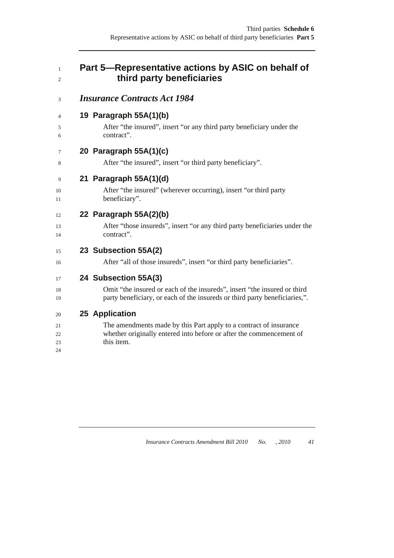### <sup>1</sup>**Part 5—Representative actions by ASIC on behalf of**  <sup>2</sup>**third party beneficiaries**

### <sup>3</sup>*Insurance Contracts Act 1984*

### <sup>4</sup>**19 Paragraph 55A(1)(b)**

5 After "the insured", insert "or any third party beneficiary under the 6 contract".

### <sup>7</sup>**20 Paragraph 55A(1)(c)**

8 After "the insured", insert "or third party beneficiary".

### <sup>9</sup>**21 Paragraph 55A(1)(d)**

10 After "the insured" (wherever occurring), insert "or third party 11 beneficiary".

### <sup>12</sup>**22 Paragraph 55A(2)(b)**

13 After "those insureds", insert "or any third party beneficiaries under the 14 contract".

### <sup>15</sup>**23 Subsection 55A(2)**

16 After "all of those insureds", insert "or third party beneficiaries".

### <sup>17</sup>**24 Subsection 55A(3)**

18 Omit "the insured or each of the insureds", insert "the insured or third 19 party beneficiary, or each of the insureds or third party beneficiaries,".

### <sup>20</sup>**25 Application**

21 The amendments made by this Part apply to a contract of insurance 22 whether originally entered into before or after the commencement of 23 this item. 24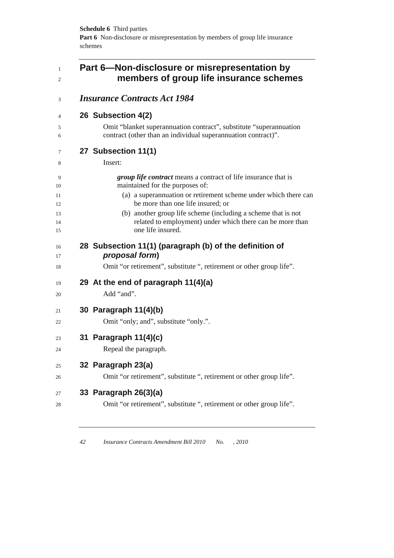| Part 6-Non-disclosure or misrepresentation by<br>members of group life insurance schemes                                                        |
|-------------------------------------------------------------------------------------------------------------------------------------------------|
| <b>Insurance Contracts Act 1984</b>                                                                                                             |
| 26 Subsection 4(2)                                                                                                                              |
| Omit "blanket superannuation contract", substitute "superannuation<br>contract (other than an individual superannuation contract)".             |
| 27 Subsection 11(1)                                                                                                                             |
| Insert:                                                                                                                                         |
| <i>group life contract</i> means a contract of life insurance that is<br>maintained for the purposes of:                                        |
| (a) a superannuation or retirement scheme under which there can<br>be more than one life insured; or                                            |
| (b) another group life scheme (including a scheme that is not<br>related to employment) under which there can be more than<br>one life insured. |
| 28 Subsection 11(1) (paragraph (b) of the definition of<br>proposal form)                                                                       |
| Omit "or retirement", substitute ", retirement or other group life".                                                                            |
| 29 At the end of paragraph 11(4)(a)                                                                                                             |
| Add "and".                                                                                                                                      |
| 30 Paragraph 11(4)(b)                                                                                                                           |
| Omit "only; and", substitute "only.".                                                                                                           |
| 31 Paragraph 11(4)(c)                                                                                                                           |
| Repeal the paragraph.                                                                                                                           |
| 32 Paragraph 23(a)                                                                                                                              |
| Omit "or retirement", substitute ", retirement or other group life".                                                                            |
| 33 Paragraph 26(3)(a)                                                                                                                           |
| Omit "or retirement", substitute ", retirement or other group life".                                                                            |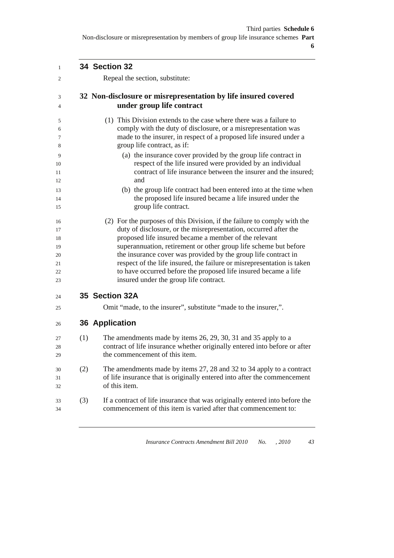| $\mathbf{1}$ |     | 34 Section 32                                                                                                                             |
|--------------|-----|-------------------------------------------------------------------------------------------------------------------------------------------|
| 2            |     | Repeal the section, substitute:                                                                                                           |
| 3            |     | 32 Non-disclosure or misrepresentation by life insured covered                                                                            |
| 4            |     | under group life contract                                                                                                                 |
| 5            |     | (1) This Division extends to the case where there was a failure to                                                                        |
| 6            |     | comply with the duty of disclosure, or a misrepresentation was                                                                            |
| 7<br>8       |     | made to the insurer, in respect of a proposed life insured under a<br>group life contract, as if:                                         |
| 9            |     | (a) the insurance cover provided by the group life contract in                                                                            |
| 10           |     | respect of the life insured were provided by an individual                                                                                |
| 11           |     | contract of life insurance between the insurer and the insured;                                                                           |
| 12           |     | and                                                                                                                                       |
| 13           |     | (b) the group life contract had been entered into at the time when                                                                        |
| 14<br>15     |     | the proposed life insured became a life insured under the<br>group life contract.                                                         |
|              |     |                                                                                                                                           |
| 16           |     | (2) For the purposes of this Division, if the failure to comply with the                                                                  |
| 17           |     | duty of disclosure, or the misrepresentation, occurred after the                                                                          |
| 18           |     | proposed life insured became a member of the relevant                                                                                     |
| 19           |     | superannuation, retirement or other group life scheme but before                                                                          |
| 20           |     | the insurance cover was provided by the group life contract in                                                                            |
| 21<br>22     |     | respect of the life insured, the failure or misrepresentation is taken<br>to have occurred before the proposed life insured became a life |
| 23           |     | insured under the group life contract.                                                                                                    |
| 24           |     | 35 Section 32A                                                                                                                            |
| 25           |     | Omit "made, to the insurer", substitute "made to the insurer,".                                                                           |
| 26           |     | <b>36 Application</b>                                                                                                                     |
| 27           | (1) | The amendments made by items 26, 29, 30, 31 and 35 apply to a                                                                             |
| 28           |     | contract of life insurance whether originally entered into before or after                                                                |
| 29           |     | the commencement of this item.                                                                                                            |
| 30           | (2) | The amendments made by items 27, 28 and 32 to 34 apply to a contract                                                                      |
| 31           |     | of life insurance that is originally entered into after the commencement                                                                  |
| 32           |     | of this item.                                                                                                                             |
| 33           | (3) | If a contract of life insurance that was originally entered into before the                                                               |
| 34           |     | commencement of this item is varied after that commencement to:                                                                           |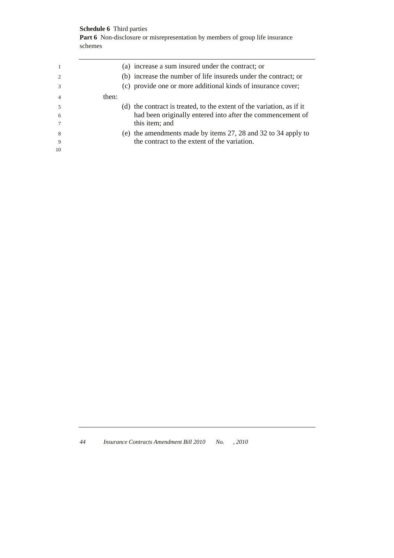### **Schedule 6** Third parties

Part 6 Non-disclosure or misrepresentation by members of group life insurance schemes

|                |       | (a) increase a sum insured under the contract; or                     |
|----------------|-------|-----------------------------------------------------------------------|
| $\mathfrak{D}$ |       | (b) increase the number of life insureds under the contract; or       |
| $\mathcal{R}$  |       | (c) provide one or more additional kinds of insurance cover;          |
| $\overline{4}$ | then: |                                                                       |
| 5              |       | (d) the contract is treated, to the extent of the variation, as if it |
| -6             |       | had been originally entered into after the commencement of            |
|                |       | this item; and                                                        |
| -8             |       | (e) the amendments made by items 27, 28 and 32 to 34 apply to         |
| 9              |       | the contract to the extent of the variation.                          |
| 10             |       |                                                                       |
|                |       |                                                                       |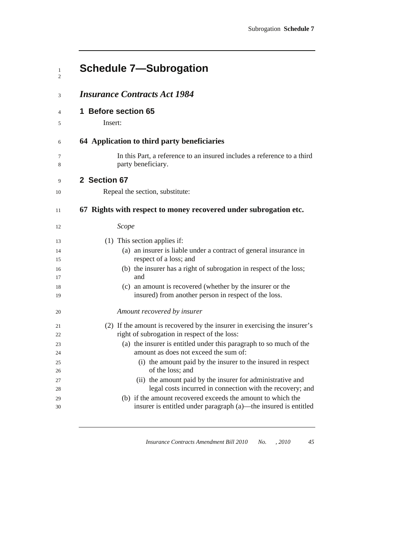| <b>Schedule 7-Subrogation</b>                                                                                     |
|-------------------------------------------------------------------------------------------------------------------|
| <b>Insurance Contracts Act 1984</b>                                                                               |
| 1 Before section 65                                                                                               |
| Insert:                                                                                                           |
| 64 Application to third party beneficiaries                                                                       |
| In this Part, a reference to an insured includes a reference to a third<br>party beneficiary.                     |
| 2 Section 67                                                                                                      |
| Repeal the section, substitute:                                                                                   |
| 67 Rights with respect to money recovered under subrogation etc.                                                  |
| Scope                                                                                                             |
| (1) This section applies if:                                                                                      |
| (a) an insurer is liable under a contract of general insurance in<br>respect of a loss; and                       |
| (b) the insurer has a right of subrogation in respect of the loss;<br>and                                         |
| (c) an amount is recovered (whether by the insurer or the<br>insured) from another person in respect of the loss. |
| Amount recovered by insurer                                                                                       |
| (2) If the amount is recovered by the insurer in exercising the insurer's                                         |
| right of subrogation in respect of the loss:                                                                      |
| (a) the insurer is entitled under this paragraph to so much of the<br>amount as does not exceed the sum of:       |
| (i) the amount paid by the insurer to the insured in respect                                                      |
| of the loss; and                                                                                                  |
| (ii) the amount paid by the insurer for administrative and                                                        |
| legal costs incurred in connection with the recovery; and                                                         |
| (b) if the amount recovered exceeds the amount to which the                                                       |
| insurer is entitled under paragraph (a)—the insured is entitled                                                   |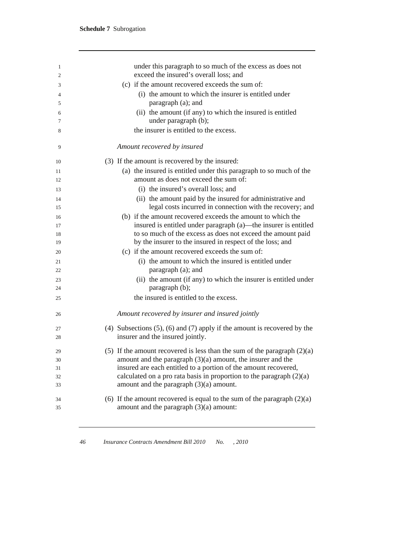| 1      | under this paragraph to so much of the excess as does not                         |
|--------|-----------------------------------------------------------------------------------|
| 2      | exceed the insured's overall loss; and                                            |
| 3      | (c) if the amount recovered exceeds the sum of:                                   |
| 4      | (i) the amount to which the insurer is entitled under                             |
| 5      | paragraph (a); and                                                                |
| 6<br>7 | (ii) the amount (if any) to which the insured is entitled<br>under paragraph (b); |
|        | the insurer is entitled to the excess.                                            |
| 8      |                                                                                   |
| 9      | Amount recovered by insured                                                       |
| 10     | (3) If the amount is recovered by the insured:                                    |
| 11     | (a) the insured is entitled under this paragraph to so much of the                |
| 12     | amount as does not exceed the sum of:                                             |
| 13     | (i) the insured's overall loss; and                                               |
| 14     | (ii) the amount paid by the insured for administrative and                        |
| 15     | legal costs incurred in connection with the recovery; and                         |
| 16     | (b) if the amount recovered exceeds the amount to which the                       |
| 17     | insured is entitled under paragraph (a)—the insurer is entitled                   |
| 18     | to so much of the excess as does not exceed the amount paid                       |
| 19     | by the insurer to the insured in respect of the loss; and                         |
| 20     | (c) if the amount recovered exceeds the sum of:                                   |
| 21     | (i) the amount to which the insured is entitled under                             |
| 22     | paragraph (a); and                                                                |
| 23     | (ii) the amount (if any) to which the insurer is entitled under                   |
| 24     | paragraph (b);                                                                    |
| 25     | the insured is entitled to the excess.                                            |
| 26     | Amount recovered by insurer and insured jointly                                   |
| 27     | (4) Subsections $(5)$ , $(6)$ and $(7)$ apply if the amount is recovered by the   |
| 28     | insurer and the insured jointly.                                                  |
| 29     | (5) If the amount recovered is less than the sum of the paragraph $(2)(a)$        |
| 30     | amount and the paragraph $(3)(a)$ amount, the insurer and the                     |
| 31     | insured are each entitled to a portion of the amount recovered,                   |
| 32     | calculated on a pro rata basis in proportion to the paragraph $(2)(a)$            |
| 33     | amount and the paragraph $(3)(a)$ amount.                                         |
| 34     | (6) If the amount recovered is equal to the sum of the paragraph $(2)(a)$         |
| 35     | amount and the paragraph $(3)(a)$ amount:                                         |
|        |                                                                                   |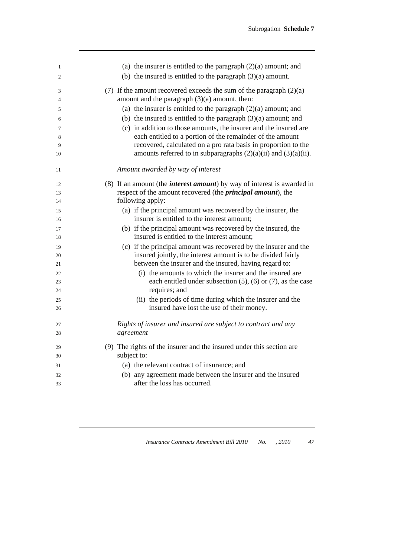| 1<br>2   | (a) the insurer is entitled to the paragraph $(2)(a)$ amount; and<br>(b) the insured is entitled to the paragraph $(3)(a)$ amount. |
|----------|------------------------------------------------------------------------------------------------------------------------------------|
| 3<br>4   | (7) If the amount recovered exceeds the sum of the paragraph $(2)(a)$<br>amount and the paragraph $(3)(a)$ amount, then:           |
| 5        | (a) the insurer is entitled to the paragraph $(2)(a)$ amount; and                                                                  |
| 6        | (b) the insured is entitled to the paragraph $(3)(a)$ amount; and                                                                  |
| 7        | (c) in addition to those amounts, the insurer and the insured are                                                                  |
| 8        | each entitled to a portion of the remainder of the amount                                                                          |
| 9        | recovered, calculated on a pro rata basis in proportion to the                                                                     |
| 10       | amounts referred to in subparagraphs $(2)(a)(ii)$ and $(3)(a)(ii)$ .                                                               |
| 11       | Amount awarded by way of interest                                                                                                  |
| 12       | (8) If an amount (the <i>interest amount</i> ) by way of interest is awarded in                                                    |
| 13       | respect of the amount recovered (the <i>principal amount</i> ), the                                                                |
| 14       | following apply:                                                                                                                   |
| 15       | (a) if the principal amount was recovered by the insurer, the                                                                      |
| 16       | insurer is entitled to the interest amount;                                                                                        |
| 17<br>18 | (b) if the principal amount was recovered by the insured, the<br>insured is entitled to the interest amount;                       |
| 19       | (c) if the principal amount was recovered by the insurer and the                                                                   |
| 20       | insured jointly, the interest amount is to be divided fairly                                                                       |
| 21       | between the insurer and the insured, having regard to:                                                                             |
| 22       | (i) the amounts to which the insurer and the insured are                                                                           |
| 23       | each entitled under subsection $(5)$ , $(6)$ or $(7)$ , as the case                                                                |
| 24       | requires; and                                                                                                                      |
| 25       | (ii) the periods of time during which the insurer and the                                                                          |
| 26       | insured have lost the use of their money.                                                                                          |
| 27       | Rights of insurer and insured are subject to contract and any                                                                      |
| 28       | agreement                                                                                                                          |
| 29       | (9) The rights of the insurer and the insured under this section are                                                               |
| 30       | subject to:                                                                                                                        |
| 31       | (a) the relevant contract of insurance; and                                                                                        |
| 32       | (b) any agreement made between the insurer and the insured                                                                         |
| 33       | after the loss has occurred.                                                                                                       |